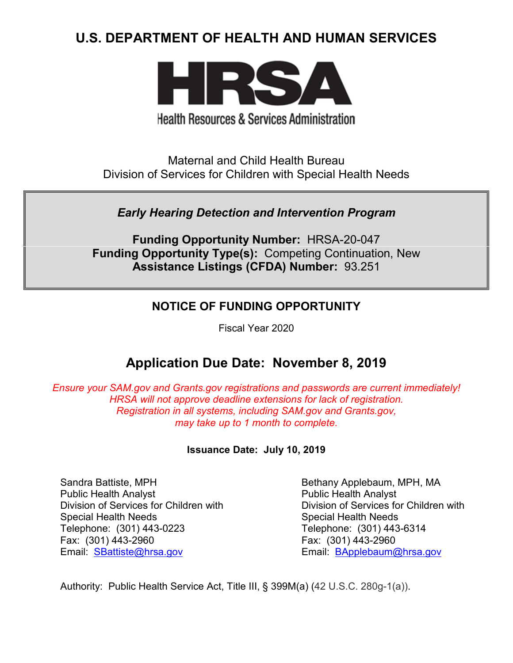# **U.S. DEPARTMENT OF HEALTH AND HUMAN SERVICES**



# **Health Resources & Services Administration**

Maternal and Child Health Bureau Division of Services for Children with Special Health Needs

## *Early Hearing Detection and Intervention Program*

**Funding Opportunity Number:** HRSA-20-047 **Funding Opportunity Type(s):** Competing Continuation, New **Assistance Listings (CFDA) Number:** 93.251

## **NOTICE OF FUNDING OPPORTUNITY**

Fiscal Year 2020

# **Application Due Date: November 8, 2019**

*Ensure your SAM.gov and Grants.gov registrations and passwords are current immediately! HRSA will not approve deadline extensions for lack of registration. Registration in all systems, including SAM.gov and Grants.gov, may take up to 1 month to complete.*

## **Issuance Date:****July 10, 2019**

Sandra Battiste, MPH Public Health Analyst Division of Services for Children with Special Health Needs Telephone: (301) 443-0223 Fax: (301) 443-2960 Email: [SBattiste@hrsa.gov](mailto:sbattiste@hrsa.gov)

Bethany Applebaum, MPH, MA Public Health Analyst Division of Services for Children with Special Health Needs Telephone: (301) 443-6314 Fax: (301) 443-2960 Email: [BApplebaum@hrsa.gov](mailto:BApplebaum@hrsa.gov)

Authority: Public Health Service Act, Title III, § 399M(a) (42 U.S.C. 280g-1(a)).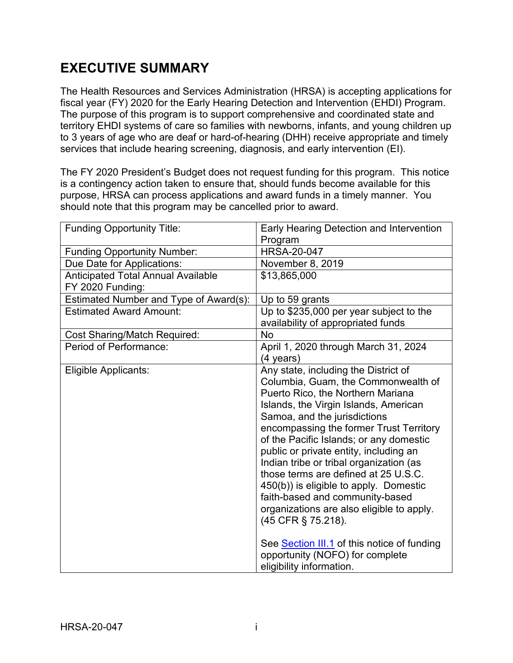# **EXECUTIVE SUMMARY**

The Health Resources and Services Administration (HRSA) is accepting applications for fiscal year (FY) 2020 for the Early Hearing Detection and Intervention (EHDI) Program. The purpose of this program is to support comprehensive and coordinated state and territory EHDI systems of care so families with newborns, infants, and young children up to 3 years of age who are deaf or hard-of-hearing (DHH) receive appropriate and timely services that include hearing screening, diagnosis, and early intervention (EI).

The FY 2020 President's Budget does not request funding for this program. This notice is a contingency action taken to ensure that, should funds become available for this purpose, HRSA can process applications and award funds in a timely manner. You should note that this program may be cancelled prior to award.

| <b>Funding Opportunity Title:</b>         | Early Hearing Detection and Intervention                                                                                                                                                                                                                                                                                                                                                                                                                                                                                                                                                                                                                                   |  |
|-------------------------------------------|----------------------------------------------------------------------------------------------------------------------------------------------------------------------------------------------------------------------------------------------------------------------------------------------------------------------------------------------------------------------------------------------------------------------------------------------------------------------------------------------------------------------------------------------------------------------------------------------------------------------------------------------------------------------------|--|
|                                           | Program                                                                                                                                                                                                                                                                                                                                                                                                                                                                                                                                                                                                                                                                    |  |
| <b>Funding Opportunity Number:</b>        | <b>HRSA-20-047</b>                                                                                                                                                                                                                                                                                                                                                                                                                                                                                                                                                                                                                                                         |  |
| Due Date for Applications:                | November 8, 2019                                                                                                                                                                                                                                                                                                                                                                                                                                                                                                                                                                                                                                                           |  |
| <b>Anticipated Total Annual Available</b> | \$13,865,000                                                                                                                                                                                                                                                                                                                                                                                                                                                                                                                                                                                                                                                               |  |
| FY 2020 Funding:                          |                                                                                                                                                                                                                                                                                                                                                                                                                                                                                                                                                                                                                                                                            |  |
| Estimated Number and Type of Award(s):    | Up to 59 grants                                                                                                                                                                                                                                                                                                                                                                                                                                                                                                                                                                                                                                                            |  |
| <b>Estimated Award Amount:</b>            | Up to \$235,000 per year subject to the<br>availability of appropriated funds                                                                                                                                                                                                                                                                                                                                                                                                                                                                                                                                                                                              |  |
| <b>Cost Sharing/Match Required:</b>       | No                                                                                                                                                                                                                                                                                                                                                                                                                                                                                                                                                                                                                                                                         |  |
| Period of Performance:                    | April 1, 2020 through March 31, 2024<br>(4 years)                                                                                                                                                                                                                                                                                                                                                                                                                                                                                                                                                                                                                          |  |
| Eligible Applicants:                      | Any state, including the District of<br>Columbia, Guam, the Commonwealth of<br>Puerto Rico, the Northern Mariana<br>Islands, the Virgin Islands, American<br>Samoa, and the jurisdictions<br>encompassing the former Trust Territory<br>of the Pacific Islands; or any domestic<br>public or private entity, including an<br>Indian tribe or tribal organization (as<br>those terms are defined at 25 U.S.C.<br>450(b)) is eligible to apply. Domestic<br>faith-based and community-based<br>organizations are also eligible to apply.<br>(45 CFR § 75.218).<br>See Section III.1 of this notice of funding<br>opportunity (NOFO) for complete<br>eligibility information. |  |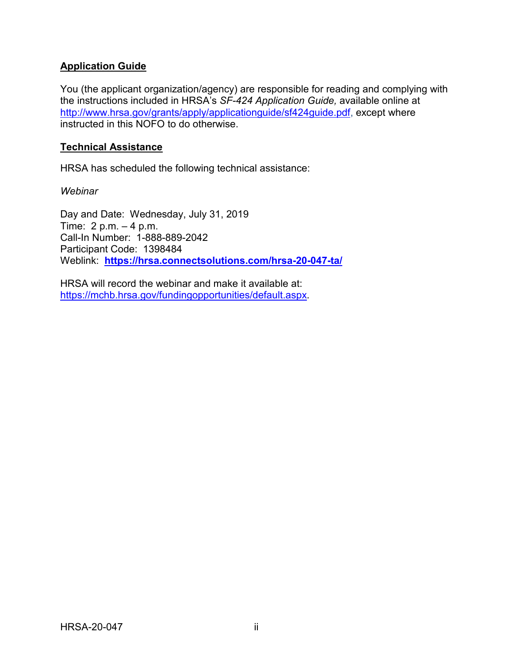## **Application Guide**

You (the applicant organization/agency) are responsible for reading and complying with the instructions included in HRSA's *SF-424 Application Guide,* available online at [http://www.hrsa.gov/grants/apply/applicationguide/sf424guide.pdf,](http://www.hrsa.gov/grants/apply/applicationguide/sf424guide.pdf) except where instructed in this NOFO to do otherwise.

#### **Technical Assistance**

HRSA has scheduled the following technical assistance:

*Webinar*

Day and Date: Wednesday, July 31, 2019 Time: 2 p.m. – 4 p.m. Call-In Number: 1-888-889-2042 Participant Code: 1398484 Weblink: **<https://hrsa.connectsolutions.com/hrsa-20-047-ta/>**

HRSA will record the webinar and make it available at: [https://mchb.hrsa.gov/fundingopportunities/default.aspx.](https://mchb.hrsa.gov/fundingopportunities/default.aspx)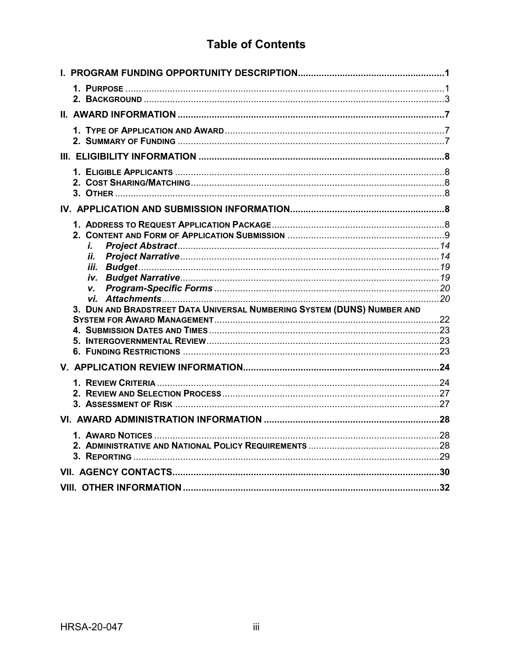# **Table of Contents**

| i.<br>ii.<br>V.<br>3. DUN AND BRADSTREET DATA UNIVERSAL NUMBERING SYSTEM (DUNS) NUMBER AND |  |
|--------------------------------------------------------------------------------------------|--|
|                                                                                            |  |
|                                                                                            |  |
|                                                                                            |  |
|                                                                                            |  |
|                                                                                            |  |
|                                                                                            |  |
|                                                                                            |  |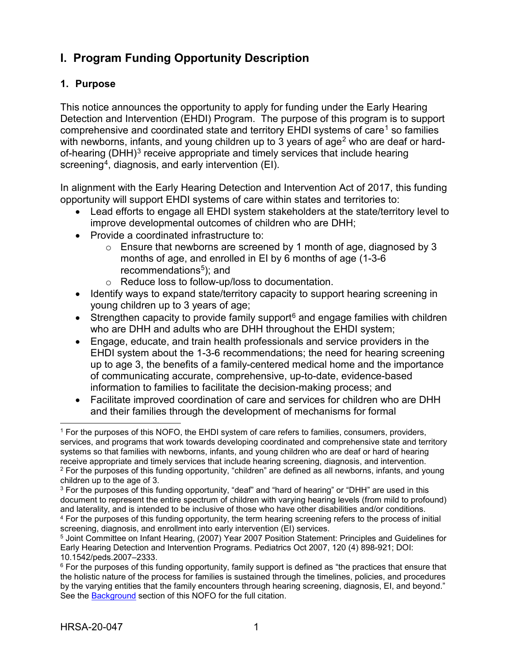# <span id="page-4-0"></span>**I. Program Funding Opportunity Description**

## <span id="page-4-1"></span>**1. Purpose**

This notice announces the opportunity to apply for funding under the Early Hearing Detection and Intervention (EHDI) Program. The purpose of this program is to support comprehensive and coordinated state and territory  $EHDI$  systems of care<sup>[1](#page-4-2)</sup> so families with newborns, infants, and young children up to 3 years of age<sup>[2](#page-4-3)</sup> who are deaf or hard-of-hearing (DHH)<sup>[3](#page-4-4)</sup> receive appropriate and timely services that include hearing screening<sup>[4](#page-4-5)</sup>, diagnosis, and early intervention  $(EI)$ .

In alignment with the Early Hearing Detection and Intervention Act of 2017, this funding opportunity will support EHDI systems of care within states and territories to:

- Lead efforts to engage all EHDI system stakeholders at the state/territory level to improve developmental outcomes of children who are DHH;
- Provide a coordinated infrastructure to:
	- $\circ$  Ensure that newborns are screened by 1 month of age, diagnosed by 3 months of age, and enrolled in EI by 6 months of age (1-3-6 recommendations $5$ ); and
	- o Reduce loss to follow-up/loss to documentation.
- Identify ways to expand state/territory capacity to support hearing screening in young children up to 3 years of age;
- Strengthen capacity to provide family support<sup>[6](#page-4-7)</sup> and engage families with children who are DHH and adults who are DHH throughout the EHDI system;
- Engage, educate, and train health professionals and service providers in the EHDI system about the 1-3-6 recommendations; the need for hearing screening up to age 3, the benefits of a family-centered medical home and the importance of communicating accurate, comprehensive, up-to-date, evidence-based information to families to facilitate the decision-making process; and
- Facilitate improved coordination of care and services for children who are DHH and their families through the development of mechanisms for formal

 $\overline{a}$ 

<span id="page-4-2"></span><sup>1</sup> For the purposes of this NOFO, the EHDI system of care refers to families, consumers, providers, services, and programs that work towards developing coordinated and comprehensive state and territory systems so that families with newborns, infants, and young children who are deaf or hard of hearing receive appropriate and timely services that include hearing screening, diagnosis, and intervention. <sup>2</sup> For the purposes of this funding opportunity, "children" are defined as all newborns, infants, and young children up to the age of 3.

<span id="page-4-4"></span><span id="page-4-3"></span><sup>3</sup> For the purposes of this funding opportunity, "deaf" and "hard of hearing" or "DHH" are used in this document to represent the entire spectrum of children with varying hearing levels (from mild to profound) and laterality, and is intended to be inclusive of those who have other disabilities and/or conditions. <sup>4</sup> For the purposes of this funding opportunity, the term hearing screening refers to the process of initial screening, diagnosis, and enrollment into early intervention (EI) services.

<span id="page-4-6"></span><span id="page-4-5"></span><sup>5</sup> Joint Committee on Infant Hearing, (2007) Year 2007 Position Statement: Principles and Guidelines for Early Hearing Detection and Intervention Programs. Pediatrics Oct 2007, 120 (4) 898-921; DOI: 10.1542/peds.2007–2333.

<span id="page-4-7"></span> $6$  For the purposes of this funding opportunity, family support is defined as "the practices that ensure that the holistic nature of the process for families is sustained through the timelines, policies, and procedures by the varying entities that the family encounters through hearing screening, diagnosis, EI, and beyond." See the [Background](#page-6-0) section of this NOFO for the full citation.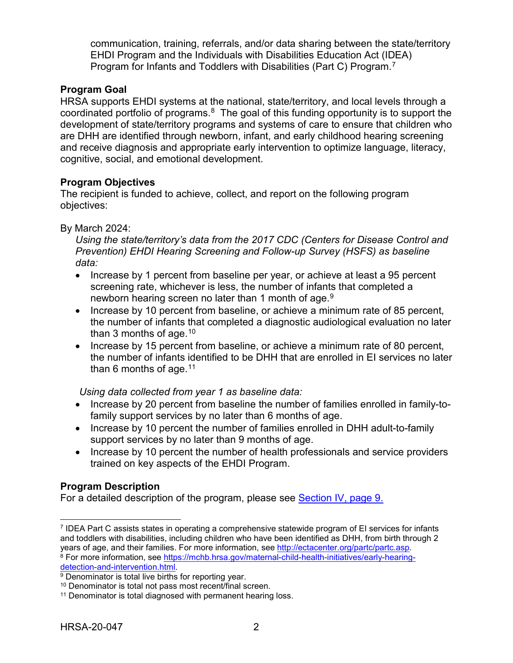communication, training, referrals, and/or data sharing between the state/territory EHDI Program and the Individuals with Disabilities Education Act (IDEA) Program for Infants and Toddlers with Disabilities (Part C) Program.<sup>[7](#page-5-0)</sup>

## **Program Goal**

HRSA supports EHDI systems at the national, state/territory, and local levels through a coordinated portfolio of programs.[8](#page-5-1) The goal of this funding opportunity is to support the development of state/territory programs and systems of care to ensure that children who are DHH are identified through newborn, infant, and early childhood hearing screening and receive diagnosis and appropriate early intervention to optimize language, literacy, cognitive, social, and emotional development.

## **Program Objectives**

The recipient is funded to achieve, collect, and report on the following program objectives:

By March 2024:

*Using the state/territory's data from the 2017 CDC (Centers for Disease Control and Prevention) EHDI Hearing Screening and Follow-up Survey (HSFS) as baseline data:* 

- Increase by 1 percent from baseline per year, or achieve at least a 95 percent screening rate, whichever is less, the number of infants that completed a newborn hearing screen no later than 1 month of age. $^9$  $^9$
- Increase by 10 percent from baseline, or achieve a minimum rate of 85 percent, the number of infants that completed a diagnostic audiological evaluation no later than 3 months of age.  $10<sup>10</sup>$  $10<sup>10</sup>$
- Increase by 15 percent from baseline, or achieve a minimum rate of 80 percent, the number of infants identified to be DHH that are enrolled in EI services no later than 6 months of age.  $11$

*Using data collected from year 1 as baseline data:*

- Increase by 20 percent from baseline the number of families enrolled in family-tofamily support services by no later than 6 months of age.
- Increase by 10 percent the number of families enrolled in DHH adult-to-family support services by no later than 9 months of age.
- Increase by 10 percent the number of health professionals and service providers trained on key aspects of the EHDI Program.

## **Program Description**

For a detailed description of the program, please see [Section IV, page 9.](#page-12-1)

<span id="page-5-0"></span> $\overline{a}$ <sup>7</sup> IDEA Part C assists states in operating a comprehensive statewide program of EI services for infants and toddlers with disabilities, including children who have been identified as DHH, from birth through 2<br>years of age, and their families. For more information, see http://ectacenter.org/partc/partc.asp.

<span id="page-5-1"></span><sup>&</sup>lt;sup>8</sup> For more information, see https://mchb.hrsa.gov/maternal-child-health-initiatives/early-hearing-<br>detection-and-intervention.html.

<span id="page-5-2"></span> $\overline{9}$  Denominator is total live births for reporting year.

<span id="page-5-3"></span><sup>10</sup> Denominator is total not pass most recent/final screen.

<span id="page-5-4"></span><sup>&</sup>lt;sup>11</sup> Denominator is total diagnosed with permanent hearing loss.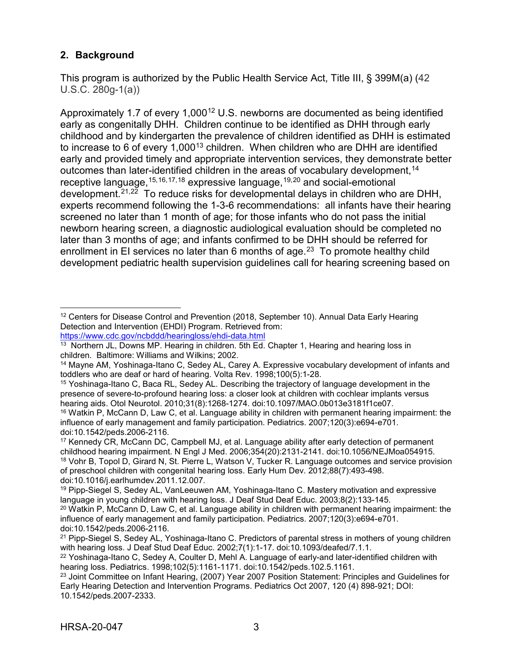## <span id="page-6-0"></span>**2. Background**

This program is authorized by the Public Health Service Act, Title III, § 399M(a) (42 U.S.C. 280g-1(a))

Approximately 1.7 of every  $1,000^{12}$  $1,000^{12}$  $1,000^{12}$  U.S. newborns are documented as being identified early as congenitally DHH. Children continue to be identified as DHH through early childhood and by kindergarten the prevalence of children identified as DHH is estimated to increase to 6 of every 1,000<sup>[13](#page-6-2)</sup> children. When children who are DHH are identified early and provided timely and appropriate intervention services, they demonstrate better outcomes than later-identified children in the areas of vocabulary development, <sup>14</sup> receptive language,[15](#page-6-4),[16,](#page-6-5)[17](#page-6-6),[18](#page-6-7) expressive language,[19](#page-6-8),[20](#page-6-9) and social-emotional development.[21](#page-6-10),[22](#page-6-11) To reduce risks for developmental delays in children who are DHH, experts recommend following the 1-3-6 recommendations: all infants have their hearing screened no later than 1 month of age; for those infants who do not pass the initial newborn hearing screen, a diagnostic audiological evaluation should be completed no later than 3 months of age; and infants confirmed to be DHH should be referred for enrollment in EI services no later than 6 months of age.<sup>[23](#page-6-12)</sup> To promote healthy child development pediatric health supervision guidelines call for hearing screening based on

<span id="page-6-1"></span> $\overline{a}$ <sup>12</sup> Centers for Disease Control and Prevention (2018, September 10). Annual Data Early Hearing Detection and Intervention (EHDI) Program. Retrieved from: <https://www.cdc.gov/ncbddd/hearingloss/ehdi-data.html>

<span id="page-6-2"></span><sup>&</sup>lt;sup>13</sup> Northern JL, Downs MP. Hearing in children. 5th Ed. Chapter 1, Hearing and hearing loss in children. Baltimore: Williams and Wilkins; 2002.

<span id="page-6-3"></span><sup>14</sup> Mayne AM, Yoshinaga-Itano C, Sedey AL, Carey A. Expressive vocabulary development of infants and toddlers who are deaf or hard of hearing. Volta Rev. 1998;100(5):1-28.

<span id="page-6-4"></span><sup>15</sup> Yoshinaga-Itano C, Baca RL, Sedey AL. Describing the trajectory of language development in the presence of severe-to-profound hearing loss: a closer look at children with cochlear implants versus hearing aids. Otol Neurotol. 2010;31(8):1268-1274. doi:10.1097/MAO.0b013e3181f1ce07.

<span id="page-6-5"></span><sup>16</sup> Watkin P, McCann D, Law C, et al. Language ability in children with permanent hearing impairment: the influence of early management and family participation. Pediatrics. 2007;120(3):e694-e701. doi:10.1542/peds.2006-2116.

<span id="page-6-7"></span><span id="page-6-6"></span><sup>17</sup> Kennedy CR, McCann DC, Campbell MJ, et al. Language ability after early detection of permanent childhood hearing impairment. N Engl J Med. 2006;354(20):2131-2141. doi:10.1056/NEJMoa054915. <sup>18</sup> Vohr B, Topol D, Girard N, St. Pierre L, Watson V, Tucker R. Language outcomes and service provision of preschool children with congenital hearing loss. Early Hum Dev. 2012;88(7):493-498. doi:10.1016/j.earlhumdev.2011.12.007.

<span id="page-6-8"></span><sup>19</sup> Pipp-Siegel S, Sedey AL, VanLeeuwen AM, Yoshinaga-Itano C. Mastery motivation and expressive language in young children with hearing loss. J Deaf Stud Deaf Educ. 2003;8(2):133-145.

<span id="page-6-9"></span> $20$  Watkin P, McCann D, Law C, et al. Language ability in children with permanent hearing impairment: the influence of early management and family participation. Pediatrics. 2007;120(3):e694-e701. doi:10.1542/peds.2006-2116.

<span id="page-6-10"></span><sup>&</sup>lt;sup>21</sup> Pipp-Siegel S, Sedey AL, Yoshinaga-Itano C. Predictors of parental stress in mothers of young children with hearing loss. J Deaf Stud Deaf Educ. 2002;7(1):1-17. doi:10.1093/deafed/7.1.1.

<span id="page-6-11"></span><sup>22</sup> Yoshinaga-Itano C, Sedey A, Coulter D, Mehl A. Language of early-and later-identified children with hearing loss. Pediatrics. 1998;102(5):1161-1171. doi:10.1542/peds.102.5.1161.

<span id="page-6-12"></span><sup>&</sup>lt;sup>23</sup> Joint Committee on Infant Hearing, (2007) Year 2007 Position Statement: Principles and Guidelines for Early Hearing Detection and Intervention Programs. Pediatrics Oct 2007, 120 (4) 898-921; DOI: 10.1542/peds.2007-2333.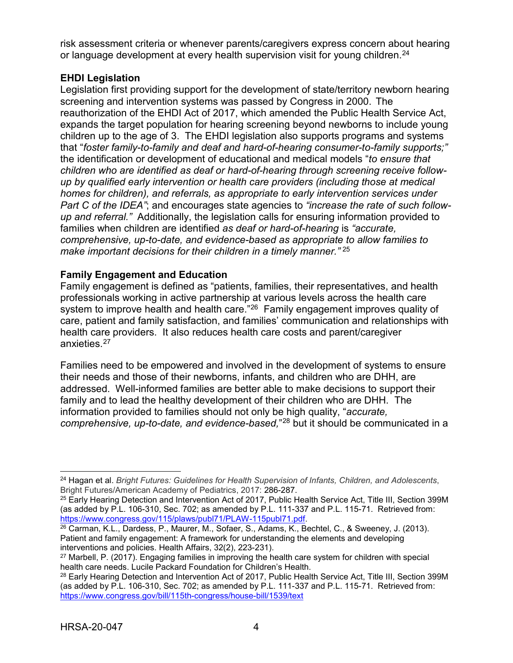risk assessment criteria or whenever parents/caregivers express concern about hearing or language development at every health supervision visit for young children.<sup>[24](#page-7-0)</sup>

## **EHDI Legislation**

Legislation first providing support for the development of state/territory newborn hearing screening and intervention systems was passed by Congress in 2000. The reauthorization of the EHDI Act of 2017, which amended the Public Health Service Act, expands the target population for hearing screening beyond newborns to include young children up to the age of 3. The EHDI legislation also supports programs and systems that "*foster family-to-family and deaf and hard-of-hearing consumer-to-family supports;"* the identification or development of educational and medical models "*to ensure that children who are identified as deaf or hard-of-hearing through screening receive followup by qualified early intervention or health care providers (including those at medical homes for children), and referrals, as appropriate to early intervention services under Part C of the IDEA"*; and encourages state agencies to *"increase the rate of such followup and referral."* Additionally, the legislation calls for ensuring information provided to families when children are identified *as deaf or hard-of-hearing* is *"accurate, comprehensive, up-to-date, and evidence-based as appropriate to allow families to make important decisions for their children in a timely manner."* [25](#page-7-1)

## **Family Engagement and Education**

Family engagement is defined as "patients, families, their representatives, and health professionals working in active partnership at various levels across the health care system to improve health and health care."<sup>[26](#page-7-2)</sup> Family engagement improves quality of care, patient and family satisfaction, and families' communication and relationships with health care providers. It also reduces health care costs and parent/caregiver anxieties. [27](#page-7-3)

Families need to be empowered and involved in the development of systems to ensure their needs and those of their newborns, infants, and children who are DHH, are addressed. Well-informed families are better able to make decisions to support their family and to lead the healthy development of their children who are DHH. The information provided to families should not only be high quality, "*accurate, comprehensive, up-to-date, and evidence-based,*"[28](#page-7-4) but it should be communicated in a

<span id="page-7-0"></span> $\overline{a}$ <sup>24</sup> Hagan et al. *Bright Futures: Guidelines for Health Supervision of Infants, Children, and Adolescents*, Bright Futures/American Academy of Pediatrics, 2017: 286-287.

<span id="page-7-1"></span><sup>&</sup>lt;sup>25</sup> Early Hearing Detection and Intervention Act of 2017, Public Health Service Act, Title III, Section 399M (as added by P.L. 106-310, Sec. 702; as amended by P.L. 111-337 and P.L. 115-71. Retrieved from: [https://www.congress.gov/115/plaws/publ71/PLAW-115publ71.pdf.](https://www.congress.gov/115/plaws/publ71/PLAW-115publ71.pdf)

<span id="page-7-2"></span><sup>26</sup> Carman, K.L., Dardess, P., Maurer, M., Sofaer, S., Adams, K., Bechtel, C., & Sweeney, J. (2013). Patient and family engagement: A framework for understanding the elements and developing interventions and policies. Health Affairs, 32(2), 223-231).

<span id="page-7-3"></span><sup>27</sup> Marbell, P. (2017). Engaging families in improving the health care system for children with special health care needs. Lucile Packard Foundation for Children's Health.

<span id="page-7-4"></span><sup>&</sup>lt;sup>28</sup> Early Hearing Detection and Intervention Act of 2017, Public Health Service Act, Title III, Section 399M (as added by P.L. 106-310, Sec. 702; as amended by P.L. 111-337 and P.L. 115-71. Retrieved from: <https://www.congress.gov/bill/115th-congress/house-bill/1539/text>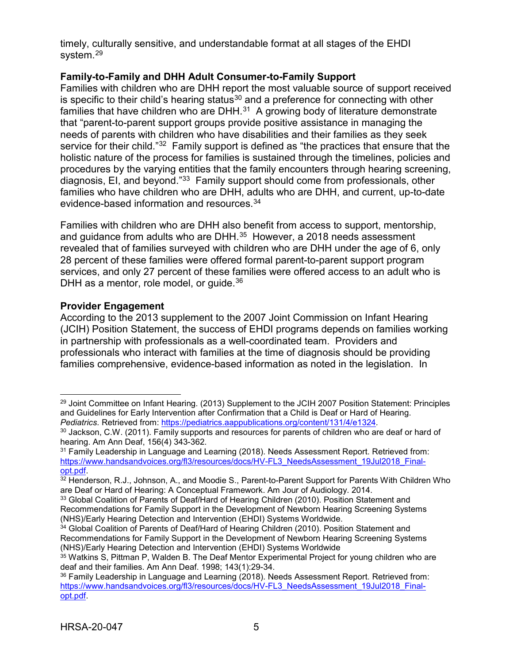timely, culturally sensitive, and understandable format at all stages of the EHDI system.<sup>[29](#page-8-0)</sup>

## **Family-to-Family and DHH Adult Consumer-to-Family Support**

Families with children who are DHH report the most valuable source of support received is specific to their child's hearing status $30$  and a preference for connecting with other families that have children who are DHH.<sup>[31](#page-8-2)</sup> A growing body of literature demonstrate that "parent-to-parent support groups provide positive assistance in managing the needs of parents with children who have disabilities and their families as they seek service for their child."[32](#page-8-3) Family support is defined as "the practices that ensure that the holistic nature of the process for families is sustained through the timelines, policies and procedures by the varying entities that the family encounters through hearing screening, diagnosis, EI, and beyond."[33](#page-8-4) Family support should come from professionals, other families who have children who are DHH, adults who are DHH, and current, up-to-date evidence-based information and resources. [34](#page-8-5)

Families with children who are DHH also benefit from access to support, mentorship, and guidance from adults who are DHH.<sup>[35](#page-8-6)</sup> However, a 2018 needs assessment revealed that of families surveyed with children who are DHH under the age of 6, only 28 percent of these families were offered formal parent-to-parent support program services, and only 27 percent of these families were offered access to an adult who is DHH as a mentor, role model, or quide.<sup>[36](#page-8-7)</sup>

#### **Provider Engagement**

According to the 2013 supplement to the 2007 Joint Commission on Infant Hearing (JCIH) Position Statement, the success of EHDI programs depends on families working in partnership with professionals as a well-coordinated team. Providers and professionals who interact with families at the time of diagnosis should be providing families comprehensive, evidence-based information as noted in the legislation. In

<span id="page-8-0"></span> $\overline{a}$ <sup>29</sup> Joint Committee on Infant Hearing. (2013) Supplement to the JCIH 2007 Position Statement: Principles and Guidelines for Early Intervention after Confirmation that a Child is Deaf or Hard of Hearing. *Pediatrics.* Retrieved from:<https://pediatrics.aappublications.org/content/131/4/e1324>*.*

<span id="page-8-1"></span><sup>&</sup>lt;sup>30</sup> Jackson, C.W. (2011). Family supports and resources for parents of children who are deaf or hard of hearing. Am Ann Deaf, 156(4) 343-362.

<span id="page-8-2"></span><sup>&</sup>lt;sup>31</sup> Family Leadership in Language and Learning (2018). Needs Assessment Report. Retrieved from: https://www.handsandvoices.org/fl3/resources/docs/HV-FL3\_NeedsAssessment\_19Jul2018\_Final-<br>opt.pdf.

<span id="page-8-3"></span><sup>32</sup> Henderson, R.J., Johnson, A., and Moodie S., Parent-to-Parent Support for Parents With Children Who are Deaf or Hard of Hearing: A Conceptual Framework. Am Jour of Audiology. 2014.

<span id="page-8-4"></span><sup>33</sup> Global Coalition of Parents of Deaf/Hard of Hearing Children (2010). Position Statement and Recommendations for Family Support in the Development of Newborn Hearing Screening Systems (NHS)/Early Hearing Detection and Intervention (EHDI) Systems Worldwide.

<span id="page-8-5"></span><sup>34</sup> Global Coalition of Parents of Deaf/Hard of Hearing Children (2010). Position Statement and Recommendations for Family Support in the Development of Newborn Hearing Screening Systems (NHS)/Early Hearing Detection and Intervention (EHDI) Systems Worldwide

<span id="page-8-6"></span><sup>35</sup> Watkins S, Pittman P, Walden B. The Deaf Mentor Experimental Project for young children who are deaf and their families. Am Ann Deaf. 1998; 143(1):29-34.

<span id="page-8-7"></span><sup>36</sup> Family Leadership in Language and Learning (2018). Needs Assessment Report. Retrieved from: [https://www.handsandvoices.org/fl3/resources/docs/HV-FL3\\_NeedsAssessment\\_19Jul2018\\_Final](https://www.handsandvoices.org/fl3/resources/docs/HV-FL3_NeedsAssessment_19Jul2018_Final-opt.pdf)[opt.pdf.](https://www.handsandvoices.org/fl3/resources/docs/HV-FL3_NeedsAssessment_19Jul2018_Final-opt.pdf)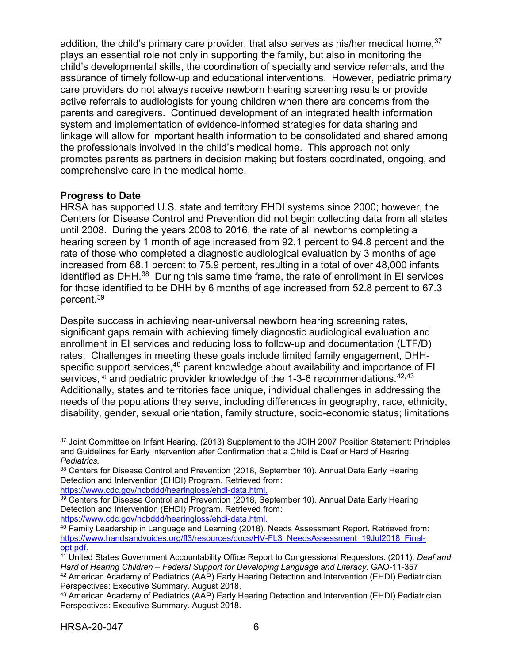addition, the child's primary care provider, that also serves as his/her medical home. $37$ plays an essential role not only in supporting the family, but also in monitoring the child's developmental skills, the coordination of specialty and service referrals, and the assurance of timely follow-up and educational interventions. However, pediatric primary care providers do not always receive newborn hearing screening results or provide active referrals to audiologists for young children when there are concerns from the parents and caregivers. Continued development of an integrated health information system and implementation of evidence-informed strategies for data sharing and linkage will allow for important health information to be consolidated and shared among the professionals involved in the child's medical home. This approach not only promotes parents as partners in decision making but fosters coordinated, ongoing, and comprehensive care in the medical home.

## **Progress to Date**

HRSA has supported U.S. state and territory EHDI systems since 2000; however, the Centers for Disease Control and Prevention did not begin collecting data from all states until 2008. During the years 2008 to 2016, the rate of all newborns completing a hearing screen by 1 month of age increased from 92.1 percent to 94.8 percent and the rate of those who completed a diagnostic audiological evaluation by 3 months of age increased from 68.1 percent to 75.9 percent, resulting in a total of over 48,000 infants identified as DHH.<sup>[38](#page-9-1)</sup> During this same time frame, the rate of enrollment in EI services for those identified to be DHH by 6 months of age increased from 52.8 percent to 67.3 percent. [39](#page-9-2)

Despite success in achieving near-universal newborn hearing screening rates, significant gaps remain with achieving timely diagnostic audiological evaluation and enrollment in EI services and reducing loss to follow-up and documentation (LTF/D) rates. Challenges in meeting these goals include limited family engagement, DHH-specific support services,<sup>[40](#page-9-3)</sup> parent knowledge about availability and importance of EI services,  $41$  and pediatric provider knowledge of the 1-3-6 recommendations.  $42,43$  $42,43$ Additionally, states and territories face unique, individual challenges in addressing the needs of the populations they serve, including differences in geography, race, ethnicity, disability, gender, sexual orientation, family structure, socio-economic status; limitations

<span id="page-9-0"></span> $\overline{a}$ <sup>37</sup> Joint Committee on Infant Hearing. (2013) Supplement to the JCIH 2007 Position Statement: Principles and Guidelines for Early Intervention after Confirmation that a Child is Deaf or Hard of Hearing. *Pediatrics.* 

<span id="page-9-1"></span><sup>38</sup> Centers for Disease Control and Prevention (2018, September 10). Annual Data Early Hearing Detection and Intervention (EHDI) Program. Retrieved from: [https://www.cdc.gov/ncbddd/hearingloss/ehdi-data.html.](https://www.cdc.gov/ncbddd/hearingloss/ehdi-data.html)

<span id="page-9-2"></span><sup>&</sup>lt;sup>39</sup> Centers for Disease Control and Prevention (2018, September 10). Annual Data Early Hearing Detection and Intervention (EHDI) Program. Retrieved from: [https://www.cdc.gov/ncbddd/hearingloss/ehdi-data.html.](https://www.cdc.gov/ncbddd/hearingloss/ehdi-data.html)

<span id="page-9-3"></span><sup>40</sup> Family Leadership in Language and Learning (2018). Needs Assessment Report. Retrieved from: [https://www.handsandvoices.org/fl3/resources/docs/HV-FL3\\_NeedsAssessment\\_19Jul2018\\_Final](https://www.handsandvoices.org/fl3/resources/docs/HV-FL3_NeedsAssessment_19Jul2018_Final-opt.pdf)[opt.pdf.](https://www.handsandvoices.org/fl3/resources/docs/HV-FL3_NeedsAssessment_19Jul2018_Final-opt.pdf)

<span id="page-9-4"></span><sup>41</sup> United States Government Accountability Office Report to Congressional Requestors. (2011). *Deaf and Hard of Hearing Children – Federal Support for Developing Language and Literacy.* GAO-11-357 42 American Academy of Pediatrics (AAP) Early Hearing Detection and Intervention (EHDI) Pediatrician Perspectives: Executive Summary. August 2018.

<span id="page-9-6"></span><span id="page-9-5"></span><sup>43</sup> American Academy of Pediatrics (AAP) Early Hearing Detection and Intervention (EHDI) Pediatrician Perspectives: Executive Summary. August 2018.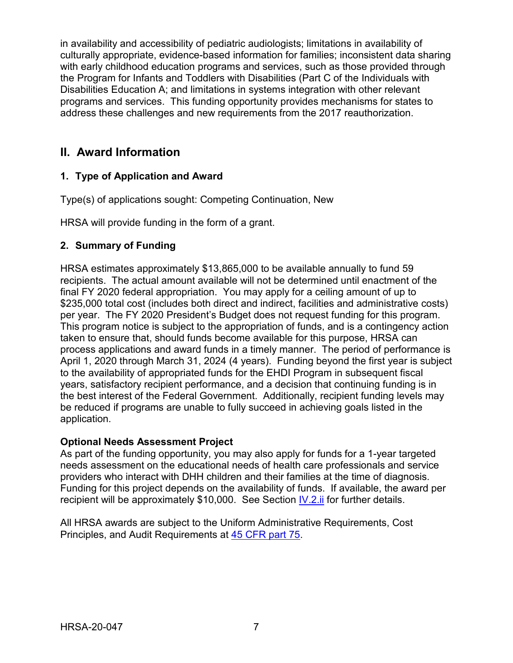in availability and accessibility of pediatric audiologists; limitations in availability of culturally appropriate, evidence-based information for families; inconsistent data sharing with early childhood education programs and services, such as those provided through the Program for Infants and Toddlers with Disabilities (Part C of the Individuals with Disabilities Education A; and limitations in systems integration with other relevant programs and services. This funding opportunity provides mechanisms for states to address these challenges and new requirements from the 2017 reauthorization.

## <span id="page-10-0"></span>**II. Award Information**

## <span id="page-10-1"></span>**1. Type of Application and Award**

Type(s) of applications sought: Competing Continuation, New

HRSA will provide funding in the form of a grant.

## <span id="page-10-2"></span>**2. Summary of Funding**

HRSA estimates approximately \$13,865,000 to be available annually to fund 59 recipients. The actual amount available will not be determined until enactment of the final FY 2020 federal appropriation. You may apply for a ceiling amount of up to \$235,000 total cost (includes both direct and indirect, facilities and administrative costs) per year. The FY 2020 President's Budget does not request funding for this program. This program notice is subject to the appropriation of funds, and is a contingency action taken to ensure that, should funds become available for this purpose, HRSA can process applications and award funds in a timely manner. The period of performance is April 1, 2020 through March 31, 2024 (4 years). Funding beyond the first year is subject to the availability of appropriated funds for the EHDI Program in subsequent fiscal years, satisfactory recipient performance, and a decision that continuing funding is in the best interest of the Federal Government. Additionally, recipient funding levels may be reduced if programs are unable to fully succeed in achieving goals listed in the application.

## **Optional Needs Assessment Project**

As part of the funding opportunity, you may also apply for funds for a 1-year targeted needs assessment on the educational needs of health care professionals and service providers who interact with DHH children and their families at the time of diagnosis. Funding for this project depends on the availability of funds. If available, the award per recipient will be approximately \$10,000. See Section [IV.2.ii](#page-19-0) for further details.

<span id="page-10-3"></span>All HRSA awards are subject to the Uniform Administrative Requirements, Cost Principles, and Audit Requirements at [45 CFR part 75.](http://www.ecfr.gov/cgi-bin/retrieveECFR?gp=1&SID=4d52364ec83fab994c665943dadf9cf7&ty=HTML&h=L&r=PART&n=pt45.1.75)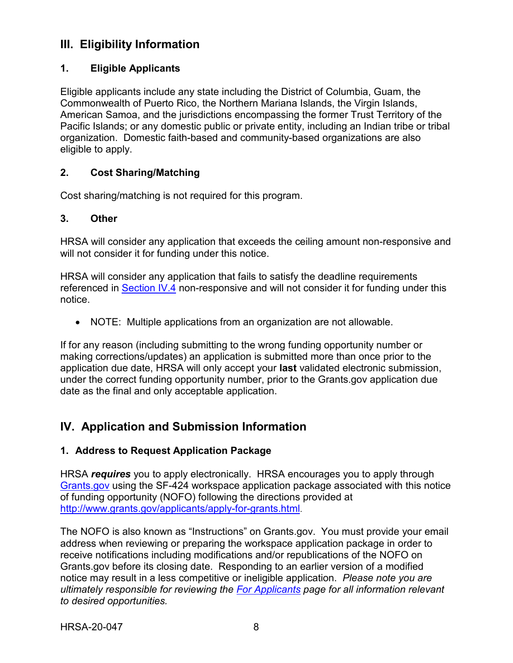## **III. Eligibility Information**

## <span id="page-11-0"></span>**1. Eligible Applicants**

Eligible applicants include any state including the District of Columbia, Guam, the Commonwealth of Puerto Rico, the Northern Mariana Islands, the Virgin Islands, American Samoa, and the jurisdictions encompassing the former Trust Territory of the Pacific Islands; or any domestic public or private entity, including an Indian tribe or tribal organization. Domestic faith-based and community-based organizations are also eligible to apply.

## <span id="page-11-1"></span>**2. Cost Sharing/Matching**

Cost sharing/matching is not required for this program.

## <span id="page-11-2"></span>**3. Other**

HRSA will consider any application that exceeds the ceiling amount non-responsive and will not consider it for funding under this notice.

HRSA will consider any application that fails to satisfy the deadline requirements referenced in [Section IV.4](#page-26-0) non-responsive and will not consider it for funding under this notice.

• NOTE: Multiple applications from an organization are not allowable.

If for any reason (including submitting to the wrong funding opportunity number or making corrections/updates) an application is submitted more than once prior to the application due date, HRSA will only accept your **last** validated electronic submission, under the correct funding opportunity number, prior to the Grants.gov application due date as the final and only acceptable application.

## <span id="page-11-3"></span>**IV. Application and Submission Information**

## <span id="page-11-4"></span>**1. Address to Request Application Package**

HRSA *requires* you to apply electronically. HRSA encourages you to apply through [Grants.gov](https://www.grants.gov/) using the SF-424 workspace application package associated with this notice of funding opportunity (NOFO) following the directions provided at [http://www.grants.gov/applicants/apply-for-grants.html.](http://www.grants.gov/applicants/apply-for-grants.html)

The NOFO is also known as "Instructions" on Grants.gov. You must provide your email address when reviewing or preparing the workspace application package in order to receive notifications including modifications and/or republications of the NOFO on Grants.gov before its closing date. Responding to an earlier version of a modified notice may result in a less competitive or ineligible application. *Please note you are ultimately responsible for reviewing the [For Applicants](https://www.grants.gov/web/grants/applicants.html) page for all information relevant to desired opportunities.*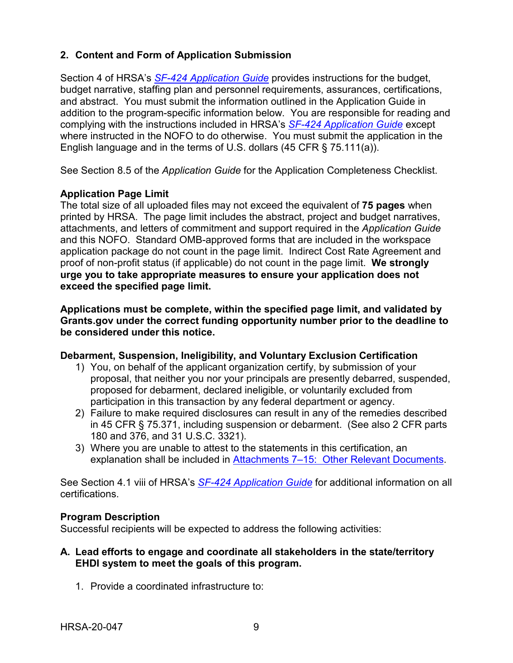## <span id="page-12-0"></span>**2. Content and Form of Application Submission**

Section 4 of HRSA's *SF-424 [Application Guide](http://www.hrsa.gov/grants/apply/applicationguide/sf424guide.pdf)* provides instructions for the budget, budget narrative, staffing plan and personnel requirements, assurances, certifications, and abstract. You must submit the information outlined in the Application Guide in addition to the program-specific information below. You are responsible for reading and complying with the instructions included in HRSA's *SF-424 [Application Guide](http://www.hrsa.gov/grants/apply/applicationguide/sf424guide.pdf)* except where instructed in the NOFO to do otherwise. You must submit the application in the English language and in the terms of U.S. dollars (45 CFR § 75.111(a)).

See Section 8.5 of the *Application Guide* for the Application Completeness Checklist.

## **Application Page Limit**

The total size of all uploaded files may not exceed the equivalent of **75 pages** when printed by HRSA. The page limit includes the abstract, project and budget narratives, attachments, and letters of commitment and support required in the *Application Guide* and this NOFO. Standard OMB-approved forms that are included in the workspace application package do not count in the page limit. Indirect Cost Rate Agreement and proof of non-profit status (if applicable) do not count in the page limit. **We strongly urge you to take appropriate measures to ensure your application does not exceed the specified page limit.**

**Applications must be complete, within the specified page limit, and validated by Grants.gov under the correct funding opportunity number prior to the deadline to be considered under this notice.**

#### **Debarment, Suspension, Ineligibility, and Voluntary Exclusion Certification**

- 1) You, on behalf of the applicant organization certify, by submission of your proposal, that neither you nor your principals are presently debarred, suspended, proposed for debarment, declared ineligible, or voluntarily excluded from participation in this transaction by any federal department or agency.
- 2) Failure to make required disclosures can result in any of the remedies described in 45 CFR § 75.371, including suspension or debarment. (See also 2 CFR parts 180 and 376, and 31 U.S.C. 3321).
- 3) Where you are unable to attest to the statements in this certification, an explanation shall be included in [Attachments 7–15: Other Relevant Documents.](#page-25-1)

See Section 4.1 viii of HRSA's *SF-424 [Application Guide](http://www.hrsa.gov/grants/apply/applicationguide/sf424guide.pdf)* for additional information on all certifications.

#### <span id="page-12-1"></span>**Program Description**

Successful recipients will be expected to address the following activities:

## **A. Lead efforts to engage and coordinate all stakeholders in the state/territory EHDI system to meet the goals of this program.**

1. Provide a coordinated infrastructure to: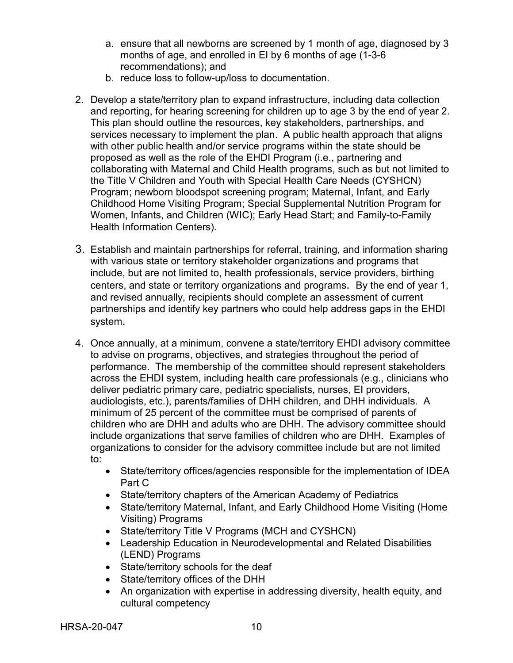- a. ensure that all newborns are screened by 1 month of age, diagnosed by 3 months of age, and enrolled in EI by 6 months of age (1-3-6 recommendations); and
- b. reduce loss to follow-up/loss to documentation.
- 2. Develop a state/territory plan to expand infrastructure, including data collection and reporting, for hearing screening for children up to age 3 by the end of year 2. This plan should outline the resources, key stakeholders, partnerships, and services necessary to implement the plan. A public health approach that aligns with other public health and/or service programs within the state should be proposed as well as the role of the EHDI Program (i.e., partnering and collaborating with Maternal and Child Health programs, such as but not limited to the Title V Children and Youth with Special Health Care Needs (CYSHCN) Program; newborn bloodspot screening program; Maternal, Infant, and Early Childhood Home Visiting Program; Special Supplemental Nutrition Program for Women, Infants, and Children (WIC); Early Head Start; and Family-to-Family Health Information Centers).
- 3. Establish and maintain partnerships for referral, training, and information sharing with various state or territory stakeholder organizations and programs that include, but are not limited to, health professionals, service providers, birthing centers, and state or territory organizations and programs. By the end of year 1, and revised annually, recipients should complete an assessment of current partnerships and identify key partners who could help address gaps in the EHDI system.
- 4. Once annually, at a minimum, convene a state/territory EHDI advisory committee to advise on programs, objectives, and strategies throughout the period of performance. The membership of the committee should represent stakeholders across the EHDI system, including health care professionals (e.g., clinicians who deliver pediatric primary care, pediatric specialists, nurses, EI providers, audiologists, etc.), parents/families of DHH children, and DHH individuals. A minimum of 25 percent of the committee must be comprised of parents of children who are DHH and adults who are DHH. The advisory committee should include organizations that serve families of children who are DHH. Examples of organizations to consider for the advisory committee include but are not limited to:
	- State/territory offices/agencies responsible for the implementation of IDEA Part C
	- State/territory chapters of the American Academy of Pediatrics
	- State/territory Maternal, Infant, and Early Childhood Home Visiting (Home Visiting) Programs
	- State/territory Title V Programs (MCH and CYSHCN)
	- Leadership Education in Neurodevelopmental and Related Disabilities (LEND) Programs
	- State/territory schools for the deaf
	- State/territory offices of the DHH
	- An organization with expertise in addressing diversity, health equity, and cultural competency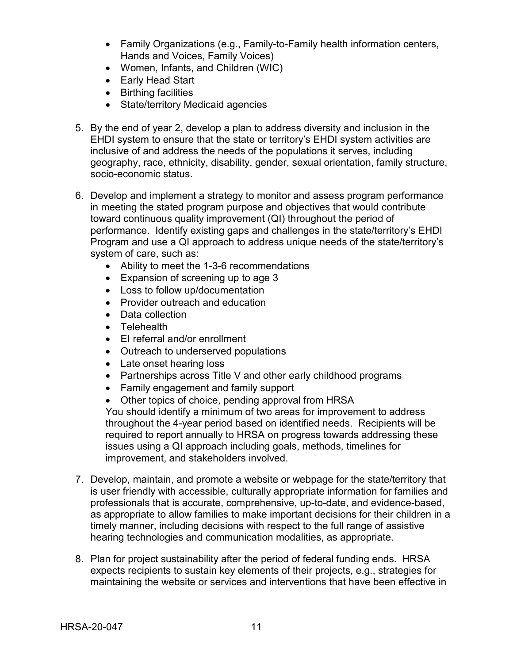- Family Organizations (e.g., Family-to-Family health information centers, Hands and Voices, Family Voices)
- Women, Infants, and Children (WIC)
- Early Head Start
- Birthing facilities
- State/territory Medicaid agencies
- 5. By the end of year 2, develop a plan to address diversity and inclusion in the EHDI system to ensure that the state or territory's EHDI system activities are inclusive of and address the needs of the populations it serves, including geography, race, ethnicity, disability, gender, sexual orientation, family structure, socio-economic status.
- 6. Develop and implement a strategy to monitor and assess program performance in meeting the stated program purpose and objectives that would contribute toward continuous quality improvement (QI) throughout the period of performance. Identify existing gaps and challenges in the state/territory's EHDI Program and use a QI approach to address unique needs of the state/territory's system of care, such as:
	- Ability to meet the 1-3-6 recommendations
	- Expansion of screening up to age 3
	- Loss to follow up/documentation
	- Provider outreach and education
	- Data collection
	- Telehealth
	- EI referral and/or enrollment
	- Outreach to underserved populations
	- Late onset hearing loss
	- Partnerships across Title V and other early childhood programs
	- Family engagement and family support
	- Other topics of choice, pending approval from HRSA

You should identify a minimum of two areas for improvement to address throughout the 4-year period based on identified needs. Recipients will be required to report annually to HRSA on progress towards addressing these issues using a QI approach including goals, methods, timelines for improvement, and stakeholders involved.

- 7. Develop, maintain, and promote a website or webpage for the state/territory that is user friendly with accessible, culturally appropriate information for families and professionals that is accurate, comprehensive, up-to-date, and evidence-based, as appropriate to allow families to make important decisions for their children in a timely manner, including decisions with respect to the full range of assistive hearing technologies and communication modalities, as appropriate.
- 8. Plan for project sustainability after the period of federal funding ends. HRSA expects recipients to sustain key elements of their projects, e.g., strategies for maintaining the website or services and interventions that have been effective in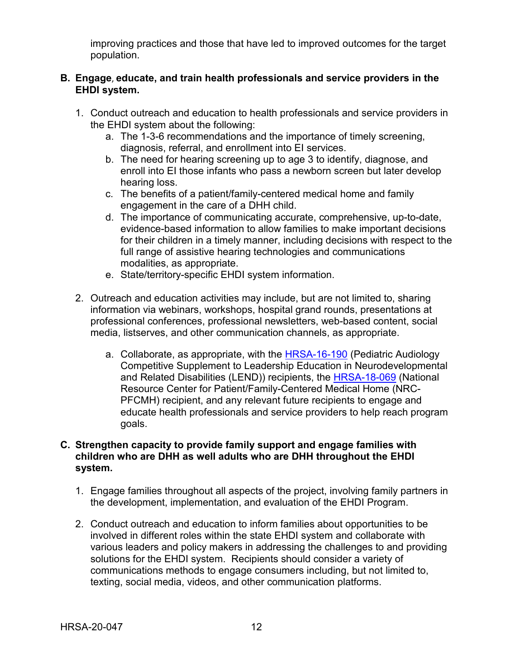improving practices and those that have led to improved outcomes for the target population.

## **B. Engage**, **educate, and train health professionals and service providers in the EHDI system.**

- 1. Conduct outreach and education to health professionals and service providers in the EHDI system about the following:
	- a. The 1-3-6 recommendations and the importance of timely screening, diagnosis, referral, and enrollment into EI services.
	- b. The need for hearing screening up to age 3 to identify, diagnose, and enroll into EI those infants who pass a newborn screen but later develop hearing loss.
	- c. The benefits of a patient/family-centered medical home and family engagement in the care of a DHH child.
	- d. The importance of communicating accurate, comprehensive, up-to-date, evidence-based information to allow families to make important decisions for their children in a timely manner, including decisions with respect to the full range of assistive hearing technologies and communications modalities, as appropriate.
	- e. State/territory-specific EHDI system information.
- 2. Outreach and education activities may include, but are not limited to, sharing information via webinars, workshops, hospital grand rounds, presentations at professional conferences, professional newsletters, web-based content, social media, listserves, and other communication channels, as appropriate.
	- a. Collaborate, as appropriate, with the **HRSA-16-190** (Pediatric Audiology Competitive Supplement to Leadership Education in Neurodevelopmental and Related Disabilities (LEND)) recipients, the HRSA-18-069 (National Resource Center for Patient/Family-Centered Medical Home (NRC-PFCMH) recipient, and any relevant future recipients to engage and educate health professionals and service providers to help reach program goals.

### **C. Strengthen capacity to provide family support and engage families with children who are DHH as well adults who are DHH throughout the EHDI system.**

- 1. Engage families throughout all aspects of the project, involving family partners in the development, implementation, and evaluation of the EHDI Program.
- 2. Conduct outreach and education to inform families about opportunities to be involved in different roles within the state EHDI system and collaborate with various leaders and policy makers in addressing the challenges to and providing solutions for the EHDI system. Recipients should consider a variety of communications methods to engage consumers including, but not limited to, texting, social media, videos, and other communication platforms.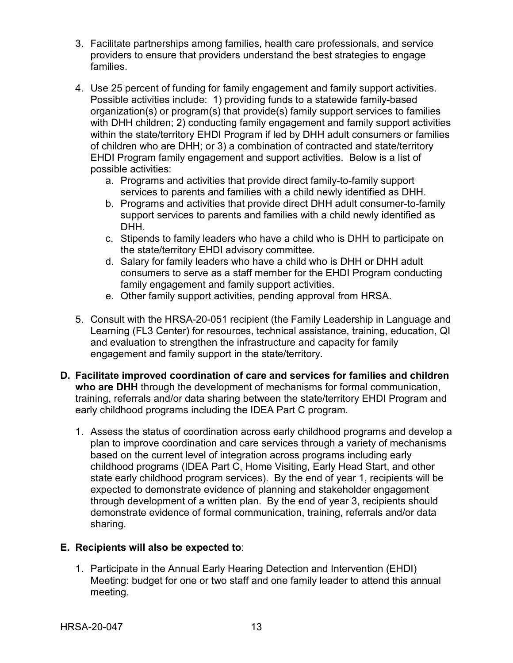- 3. Facilitate partnerships among families, health care professionals, and service providers to ensure that providers understand the best strategies to engage families.
- 4. Use 25 percent of funding for family engagement and family support activities. Possible activities include: 1) providing funds to a statewide family-based organization(s) or program(s) that provide(s) family support services to families with DHH children; 2) conducting family engagement and family support activities within the state/territory EHDI Program if led by DHH adult consumers or families of children who are DHH; or 3) a combination of contracted and state/territory EHDI Program family engagement and support activities. Below is a list of possible activities:
	- a. Programs and activities that provide direct family-to-family support services to parents and families with a child newly identified as DHH.
	- b. Programs and activities that provide direct DHH adult consumer-to-family support services to parents and families with a child newly identified as DHH.
	- c. Stipends to family leaders who have a child who is DHH to participate on the state/territory EHDI advisory committee.
	- d. Salary for family leaders who have a child who is DHH or DHH adult consumers to serve as a staff member for the EHDI Program conducting family engagement and family support activities.
	- e. Other family support activities, pending approval from HRSA.
- 5. Consult with the HRSA-20-051 recipient (the Family Leadership in Language and Learning (FL3 Center) for resources, technical assistance, training, education, QI and evaluation to strengthen the infrastructure and capacity for family engagement and family support in the state/territory.
- **D. Facilitate improved coordination of care and services for families and children who are DHH** through the development of mechanisms for formal communication, training, referrals and/or data sharing between the state/territory EHDI Program and early childhood programs including the IDEA Part C program.
	- 1. Assess the status of coordination across early childhood programs and develop a plan to improve coordination and care services through a variety of mechanisms based on the current level of integration across programs including early childhood programs (IDEA Part C, Home Visiting, Early Head Start, and other state early childhood program services). By the end of year 1, recipients will be expected to demonstrate evidence of planning and stakeholder engagement through development of a written plan. By the end of year 3, recipients should demonstrate evidence of formal communication, training, referrals and/or data sharing.

## **E. Recipients will also be expected to**:

1. Participate in the Annual Early Hearing Detection and Intervention (EHDI) Meeting: budget for one or two staff and one family leader to attend this annual meeting.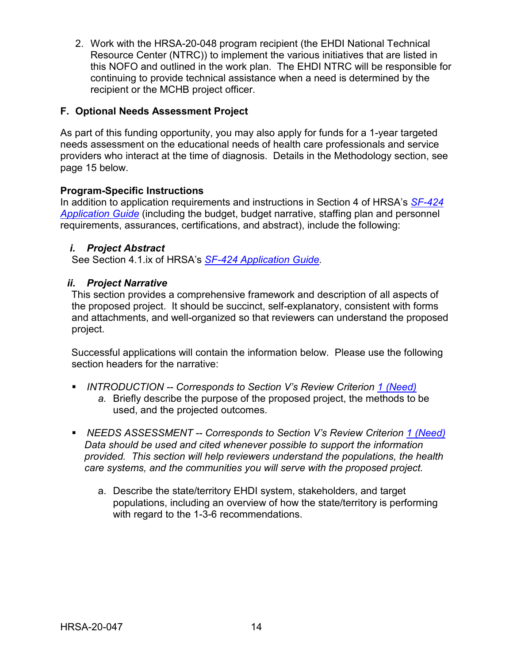2. Work with the HRSA-20-048 program recipient (the EHDI National Technical Resource Center (NTRC)) to implement the various initiatives that are listed in this NOFO and outlined in the work plan. The EHDI NTRC will be responsible for continuing to provide technical assistance when a need is determined by the recipient or the MCHB project officer.

## **F. Optional Needs Assessment Project**

As part of this funding opportunity, you may also apply for funds for a 1-year targeted needs assessment on the educational needs of health care professionals and service providers who interact at the time of diagnosis. Details in the Methodology section, see page 15 below.

## **Program-Specific Instructions**

In addition to application requirements and instructions in Section 4 of HRSA's *[SF-424](http://www.hrsa.gov/grants/apply/applicationguide/sf424guide.pdf) [Application Guide](http://www.hrsa.gov/grants/apply/applicationguide/sf424guide.pdf)* (including the budget, budget narrative, staffing plan and personnel requirements, assurances, certifications, and abstract), include the following:

## <span id="page-17-0"></span>*i. Project Abstract*

See Section 4.1.ix of HRSA's *SF-424 [Application Guide.](http://www.hrsa.gov/grants/apply/applicationguide/sf424guide.pdf)*

## <span id="page-17-1"></span>*ii. Project Narrative*

This section provides a comprehensive framework and description of all aspects of the proposed project. It should be succinct, self-explanatory, consistent with forms and attachments, and well-organized so that reviewers can understand the proposed project.

Successful applications will contain the information below. Please use the following section headers for the narrative:

- <span id="page-17-2"></span> *INTRODUCTION -- Corresponds to Section V's Review Criterion [1 \(Need\)](#page-27-2)*
	- *a.* Briefly describe the purpose of the proposed project, the methods to be used, and the projected outcomes.
- <span id="page-17-3"></span> *NEEDS ASSESSMENT -- Corresponds to Section V's Review Criterion [1 \(Need\)](#page-27-2) Data should be used and cited whenever possible to support the information provided. This section will help reviewers understand the populations, the health care systems, and the communities you will serve with the proposed project.*
	- a. Describe the state/territory EHDI system, stakeholders, and target populations, including an overview of how the state/territory is performing with regard to the 1-3-6 recommendations.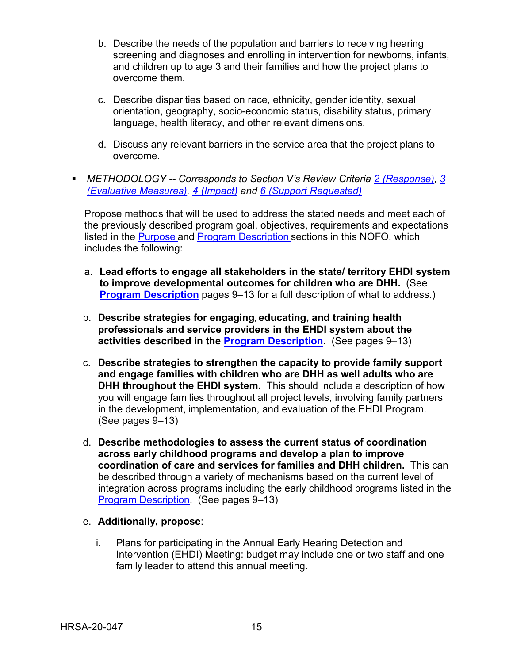- b. Describe the needs of the population and barriers to receiving hearing screening and diagnoses and enrolling in intervention for newborns, infants, and children up to age 3 and their families and how the project plans to overcome them.
- c. Describe disparities based on race, ethnicity, gender identity, sexual orientation, geography, socio-economic status, disability status, primary language, health literacy, and other relevant dimensions.
- d. Discuss any relevant barriers in the service area that the project plans to overcome.
- <span id="page-18-0"></span> *METHODOLOGY -- Corresponds to Section V's Review Criteria [2 \(Response\),](#page-27-3) [3](#page-28-0)  [\(Evaluative Measures\),](#page-28-0) [4 \(Impact\)](#page-29-0) and [6 \(Support Requested\)](#page-29-1)*

Propose methods that will be used to address the stated needs and meet each of the previously described program goal, objectives, requirements and expectations listed in the [Purpose](#page-4-1) and [Program Description](#page-12-1) sections in this NOFO, which includes the following:

- a. **Lead efforts to engage all stakeholders in the state/ territory EHDI system to improve developmental outcomes for children who are DHH.** (See **[Program Description](#page-12-1)** pages 9–13 for a full description of what to address.)
- b. **Describe strategies for engaging**, **educating, and training health professionals and service providers in the EHDI system about the activities described in the [Program Description.](#page-12-1)** (See pages 9–13)
- c. **Describe strategies to strengthen the capacity to provide family support and engage families with children who are DHH as well adults who are DHH throughout the EHDI system.** This should include a description of how you will engage families throughout all project levels, involving family partners in the development, implementation, and evaluation of the EHDI Program. (See pages 9–13)
- d. **Describe methodologies to assess the current status of coordination across early childhood programs and develop a plan to improve coordination of care and services for families and DHH children.** This can be described through a variety of mechanisms based on the current level of integration across programs including the early childhood programs listed in the [Program Description.](#page-12-1) (See pages 9–13)
- e. **Additionally, propose**:
	- i. Plans for participating in the Annual Early Hearing Detection and Intervention (EHDI) Meeting: budget may include one or two staff and one family leader to attend this annual meeting.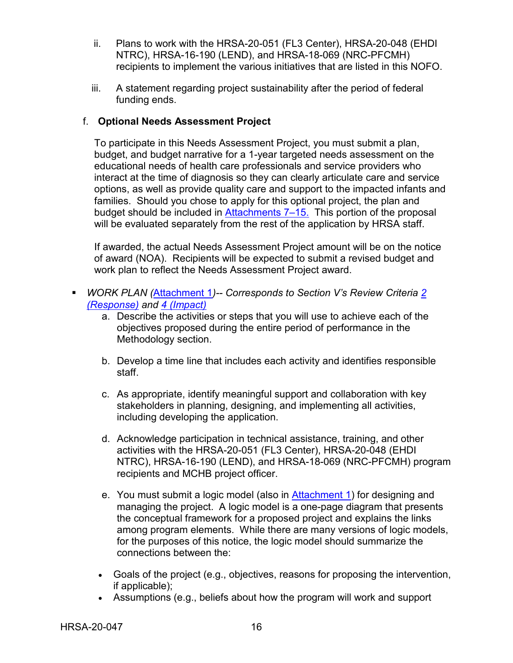- ii. Plans to work with the HRSA-20-051 (FL3 Center), HRSA-20-048 (EHDI NTRC), HRSA-16-190 (LEND), and HRSA-18-069 (NRC-PFCMH) recipients to implement the various initiatives that are listed in this NOFO.
- iii. A statement regarding project sustainability after the period of federal funding ends.

## <span id="page-19-0"></span>f. **Optional Needs Assessment Project**

To participate in this Needs Assessment Project, you must submit a plan, budget, and budget narrative for a 1-year targeted needs assessment on the educational needs of health care professionals and service providers who interact at the time of diagnosis so they can clearly articulate care and service options, as well as provide quality care and support to the impacted infants and families. Should you chose to apply for this optional project, the plan and budget should be included in [Attachments 7–15.](#page-25-1) This portion of the proposal will be evaluated separately from the rest of the application by HRSA staff.

If awarded, the actual Needs Assessment Project amount will be on the notice of award (NOA). Recipients will be expected to submit a revised budget and work plan to reflect the Needs Assessment Project award.

- <span id="page-19-1"></span> *WORK PLAN (*[Attachment 1](#page-23-2)*)-- Corresponds to Section V's Review Criteria [2](#page-27-3)  [\(Response\)](#page-27-3) and [4 \(Impact\)](#page-29-0)*
	- a. Describe the activities or steps that you will use to achieve each of the objectives proposed during the entire period of performance in the Methodology section.
	- b. Develop a time line that includes each activity and identifies responsible staff.
	- c. As appropriate, identify meaningful support and collaboration with key stakeholders in planning, designing, and implementing all activities, including developing the application.
	- d. Acknowledge participation in technical assistance, training, and other activities with the HRSA-20-051 (FL3 Center), HRSA-20-048 (EHDI NTRC), HRSA-16-190 (LEND), and HRSA-18-069 (NRC-PFCMH) program recipients and MCHB project officer.
	- e. You must submit a logic model (also in [Attachment 1\)](#page-23-2) for designing and managing the project. A logic model is a one-page diagram that presents the conceptual framework for a proposed project and explains the links among program elements. While there are many versions of logic models, for the purposes of this notice, the logic model should summarize the connections between the:
	- Goals of the project (e.g., objectives, reasons for proposing the intervention, if applicable);
	- Assumptions (e.g., beliefs about how the program will work and support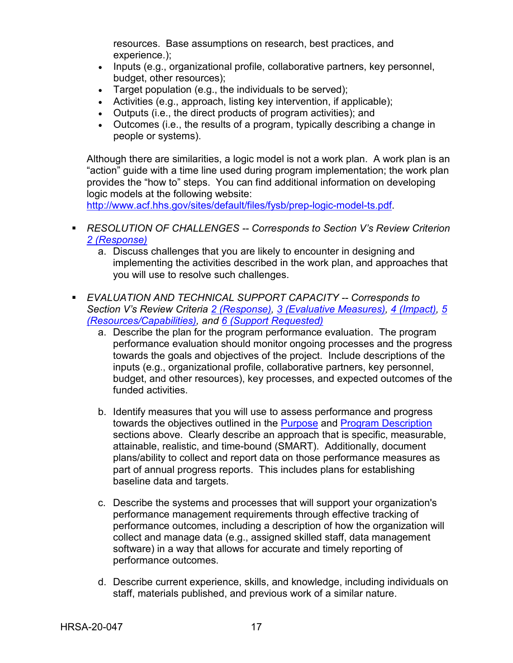resources. Base assumptions on research, best practices, and experience.);

- Inputs (e.g., organizational profile, collaborative partners, key personnel, budget, other resources);
- Target population (e.g., the individuals to be served);
- Activities (e.g., approach, listing key intervention, if applicable);
- Outputs (i.e., the direct products of program activities); and
- Outcomes (i.e., the results of a program, typically describing a change in people or systems).

Although there are similarities, a logic model is not a work plan. A work plan is an "action" guide with a time line used during program implementation; the work plan provides the "how to" steps. You can find additional information on developing logic models at the following website:

[http://www.acf.hhs.gov/sites/default/files/fysb/prep-logic-model-ts.pdf.](http://www.acf.hhs.gov/sites/default/files/fysb/prep-logic-model-ts.pdf)

- <span id="page-20-0"></span> *RESOLUTION OF CHALLENGES -- Corresponds to Section V's Review Criterion [2 \(Response\)](#page-27-3)*
	- a. Discuss challenges that you are likely to encounter in designing and implementing the activities described in the work plan, and approaches that you will use to resolve such challenges.
- <span id="page-20-1"></span> *EVALUATION AND TECHNICAL SUPPORT CAPACITY -- Corresponds to Section V's Review Criteria [2 \(Response\),](#page-27-3) [3 \(Evaluative Measures\),](#page-28-0) [4 \(Impact\),](#page-29-0) [5](#page-29-2)  [\(Resources/Capabilities\),](#page-29-2) and [6 \(Support Requested\)](#page-29-1)*
	- a. Describe the plan for the program performance evaluation. The program performance evaluation should monitor ongoing processes and the progress towards the goals and objectives of the project. Include descriptions of the inputs (e.g., organizational profile, collaborative partners, key personnel, budget, and other resources), key processes, and expected outcomes of the funded activities.
	- b. Identify measures that you will use to assess performance and progress towards the objectives outlined in the [Purpose](#page-4-1) and [Program Description](#page-12-1) sections above. Clearly describe an approach that is specific, measurable, attainable, realistic, and time-bound (SMART). Additionally, document plans/ability to collect and report data on those performance measures as part of annual progress reports. This includes plans for establishing baseline data and targets.
	- c. Describe the systems and processes that will support your organization's performance management requirements through effective tracking of performance outcomes, including a description of how the organization will collect and manage data (e.g., assigned skilled staff, data management software) in a way that allows for accurate and timely reporting of performance outcomes.
	- d. Describe current experience, skills, and knowledge, including individuals on staff, materials published, and previous work of a similar nature.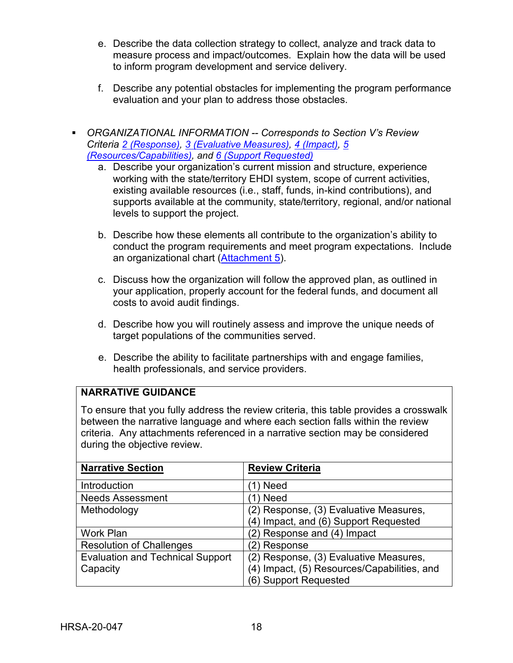- e. Describe the data collection strategy to collect, analyze and track data to measure process and impact/outcomes. Explain how the data will be used to inform program development and service delivery.
- f. Describe any potential obstacles for implementing the program performance evaluation and your plan to address those obstacles.
- <span id="page-21-0"></span> *ORGANIZATIONAL INFORMATION -- Corresponds to Section V's Review Criteria [2 \(Response\),](#page-27-3) [3 \(Evaluative Measures\),](#page-28-0) [4 \(Impact\),](#page-29-0) [5](#page-29-2)  [\(Resources/Capabilities\),](#page-29-2) and [6 \(Support Requested\)](#page-29-1)*
	- a. Describe your organization's current mission and structure, experience working with the state/territory EHDI system, scope of current activities, existing available resources (i.e., staff, funds, in-kind contributions), and supports available at the community, state/territory, regional, and/or national levels to support the project.
	- b. Describe how these elements all contribute to the organization's ability to conduct the program requirements and meet program expectations. Include an organizational chart [\(Attachment 5\)](#page-24-0).
	- c. Discuss how the organization will follow the approved plan, as outlined in your application, properly account for the federal funds, and document all costs to avoid audit findings.
	- d. Describe how you will routinely assess and improve the unique needs of target populations of the communities served.
	- e. Describe the ability to facilitate partnerships with and engage families, health professionals, and service providers.

## **NARRATIVE GUIDANCE**

To ensure that you fully address the review criteria, this table provides a crosswalk between the narrative language and where each section falls within the review criteria. Any attachments referenced in a narrative section may be considered during the objective review.

| <b>Narrative Section</b>                | <b>Review Criteria</b>                      |  |
|-----------------------------------------|---------------------------------------------|--|
| Introduction                            | 1) Need                                     |  |
| <b>Needs Assessment</b>                 | 1) Need                                     |  |
| Methodology                             | (2) Response, (3) Evaluative Measures,      |  |
|                                         | (4) Impact, and (6) Support Requested       |  |
| <b>Work Plan</b>                        | (2) Response and (4) Impact                 |  |
| <b>Resolution of Challenges</b>         | (2) Response                                |  |
| <b>Evaluation and Technical Support</b> | (2) Response, (3) Evaluative Measures,      |  |
| Capacity                                | (4) Impact, (5) Resources/Capabilities, and |  |
|                                         | (6) Support Requested                       |  |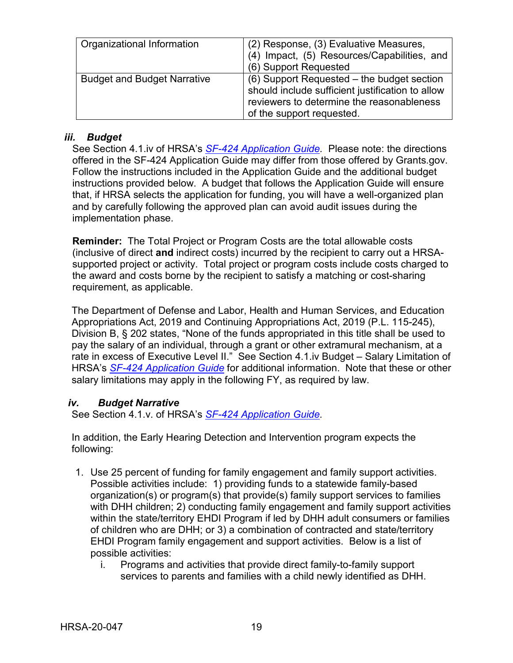| Organizational Information         | (2) Response, (3) Evaluative Measures,<br>(4) Impact, (5) Resources/Capabilities, and<br>(6) Support Requested                                                           |
|------------------------------------|--------------------------------------------------------------------------------------------------------------------------------------------------------------------------|
| <b>Budget and Budget Narrative</b> | (6) Support Requested – the budget section<br>should include sufficient justification to allow<br>reviewers to determine the reasonableness<br>of the support requested. |

#### <span id="page-22-0"></span>*iii. Budget*

See Section 4.1.iv of HRSA's *SF-424 [Application Guide.](http://www.hrsa.gov/grants/apply/applicationguide/sf424guide.pdf)* Please note: the directions offered in the SF-424 Application Guide may differ from those offered by Grants.gov. Follow the instructions included in the Application Guide and the additional budget instructions provided below. A budget that follows the Application Guide will ensure that, if HRSA selects the application for funding, you will have a well-organized plan and by carefully following the approved plan can avoid audit issues during the implementation phase.

**Reminder:** The Total Project or Program Costs are the total allowable costs (inclusive of direct **and** indirect costs) incurred by the recipient to carry out a HRSAsupported project or activity. Total project or program costs include costs charged to the award and costs borne by the recipient to satisfy a matching or cost-sharing requirement, as applicable.

The Department of Defense and Labor, Health and Human Services, and Education Appropriations Act, 2019 and Continuing Appropriations Act, 2019 (P.L. 115-245), Division B, § 202 states, "None of the funds appropriated in this title shall be used to pay the salary of an individual, through a grant or other extramural mechanism, at a rate in excess of Executive Level II." See Section 4.1.iv Budget – Salary Limitation of HRSA's *SF-424 [Application Guide](http://www.hrsa.gov/grants/apply/applicationguide/sf424guide.pdf)* for additional information. Note that these or other salary limitations may apply in the following FY, as required by law.

#### <span id="page-22-1"></span>*iv. Budget Narrative*

See Section 4.1.v. of HRSA's *SF-424 [Application Guide.](http://www.hrsa.gov/grants/apply/applicationguide/sf424guide.pdf)*

In addition, the Early Hearing Detection and Intervention program expects the following:

- 1. Use 25 percent of funding for family engagement and family support activities. Possible activities include: 1) providing funds to a statewide family-based organization(s) or program(s) that provide(s) family support services to families with DHH children; 2) conducting family engagement and family support activities within the state/territory EHDI Program if led by DHH adult consumers or families of children who are DHH; or 3) a combination of contracted and state/territory EHDI Program family engagement and support activities. Below is a list of possible activities:
	- i. Programs and activities that provide direct family-to-family support services to parents and families with a child newly identified as DHH.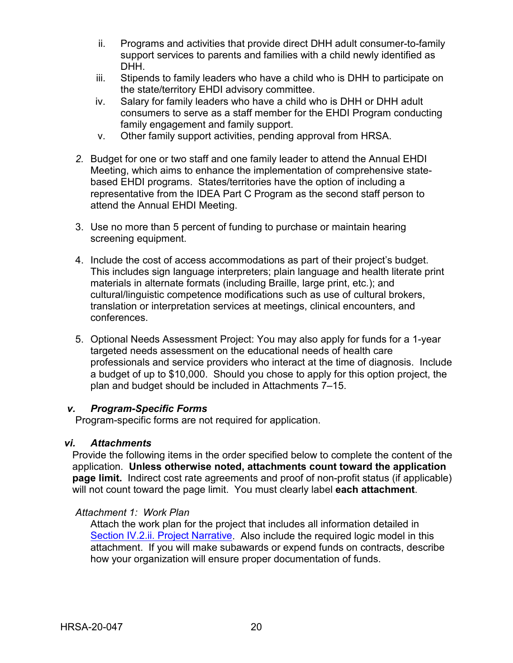- ii. Programs and activities that provide direct DHH adult consumer-to-family support services to parents and families with a child newly identified as DHH.
- iii. Stipends to family leaders who have a child who is DHH to participate on the state/territory EHDI advisory committee.
- iv. Salary for family leaders who have a child who is DHH or DHH adult consumers to serve as a staff member for the EHDI Program conducting family engagement and family support.
- v. Other family support activities, pending approval from HRSA.
- *2.* Budget for one or two staff and one family leader to attend the Annual EHDI Meeting, which aims to enhance the implementation of comprehensive statebased EHDI programs. States/territories have the option of including a representative from the IDEA Part C Program as the second staff person to attend the Annual EHDI Meeting.
- 3. Use no more than 5 percent of funding to purchase or maintain hearing screening equipment.
- 4. Include the cost of access accommodations as part of their project's budget. This includes sign language interpreters; plain language and health literate print materials in alternate formats (including Braille, large print, etc.); and cultural/linguistic competence modifications such as use of cultural brokers, translation or interpretation services at meetings, clinical encounters, and conferences.
- 5. Optional Needs Assessment Project: You may also apply for funds for a 1-year targeted needs assessment on the educational needs of health care professionals and service providers who interact at the time of diagnosis. Include a budget of up to \$10,000. Should you chose to apply for this option project, the plan and budget should be included in Attachments 7–15.

#### <span id="page-23-0"></span>*v. Program-Specific Forms*

Program-specific forms are not required for application.

#### <span id="page-23-1"></span>*vi. Attachments*

Provide the following items in the order specified below to complete the content of the application. **Unless otherwise noted, attachments count toward the application page limit.** Indirect cost rate agreements and proof of non-profit status (if applicable) will not count toward the page limit. You must clearly label **each attachment**.

#### <span id="page-23-2"></span>*Attachment 1: Work Plan*

Attach the work plan for the project that includes all information detailed in [Section IV.2.ii. Project Narrative.](#page-17-1) Also include the required logic model in this attachment. If you will make subawards or expend funds on contracts, describe how your organization will ensure proper documentation of funds.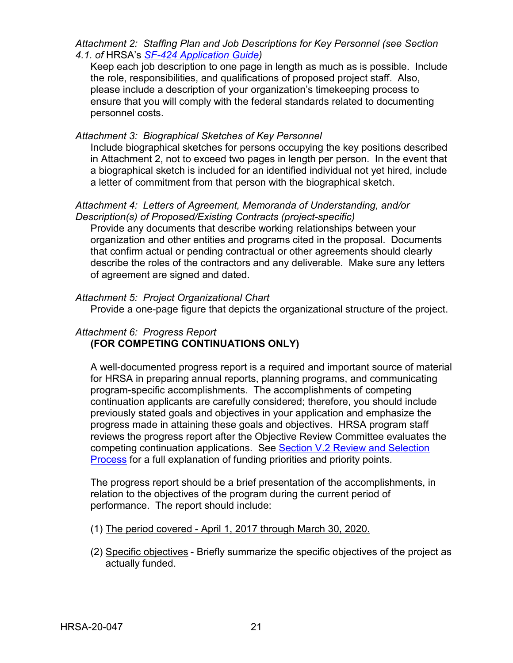*Attachment 2: Staffing Plan and Job Descriptions for Key Personnel (see Section 4.1. of* HRSA's *SF-424 [Application Guide\)](http://www.hrsa.gov/grants/apply/applicationguide/sf424guide.pdf)*

Keep each job description to one page in length as much as is possible. Include the role, responsibilities, and qualifications of proposed project staff. Also, please include a description of your organization's timekeeping process to ensure that you will comply with the federal standards related to documenting personnel costs.

#### *Attachment 3: Biographical Sketches of Key Personnel*

Include biographical sketches for persons occupying the key positions described in Attachment 2, not to exceed two pages in length per person. In the event that a biographical sketch is included for an identified individual not yet hired, include a letter of commitment from that person with the biographical sketch.

#### *Attachment 4: Letters of Agreement, Memoranda of Understanding, and/or Description(s) of Proposed/Existing Contracts (project-specific)*

Provide any documents that describe working relationships between your organization and other entities and programs cited in the proposal. Documents that confirm actual or pending contractual or other agreements should clearly describe the roles of the contractors and any deliverable. Make sure any letters of agreement are signed and dated.

#### <span id="page-24-0"></span>*Attachment 5: Project Organizational Chart*

Provide a one-page figure that depicts the organizational structure of the project.

#### <span id="page-24-1"></span>*Attachment 6: Progress Report*  **(FOR COMPETING CONTINUATIONS ONLY)**

A well-documented progress report is a required and important source of material for HRSA in preparing annual reports, planning programs, and communicating program-specific accomplishments. The accomplishments of competing continuation applicants are carefully considered; therefore, you should include previously stated goals and objectives in your application and emphasize the progress made in attaining these goals and objectives. HRSA program staff reviews the progress report after the Objective Review Committee evaluates the competing continuation applications.See [Section V.2 Review and Selection](#page-30-0)  [Process](#page-30-0) for a full explanation of funding priorities and priority points.

The progress report should be a brief presentation of the accomplishments, in relation to the objectives of the program during the current period of performance. The report should include:

- (1) The period covered April 1, 2017 through March 30, 2020.
- (2) Specific objectives Briefly summarize the specific objectives of the project as actually funded.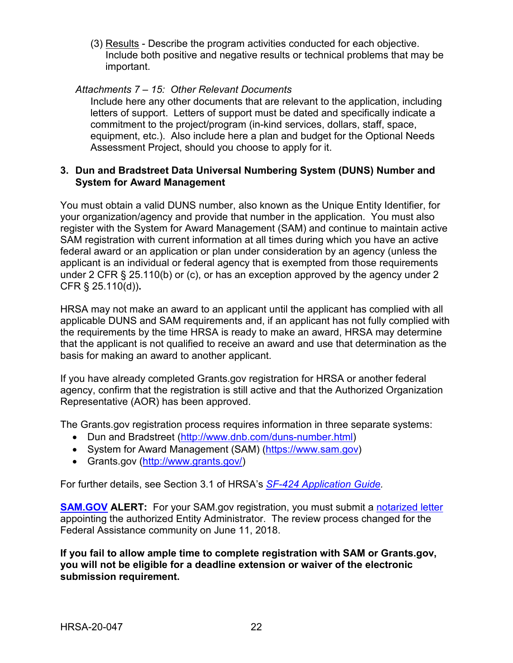(3) Results - Describe the program activities conducted for each objective. Include both positive and negative results or technical problems that may be important.

## <span id="page-25-1"></span>*Attachments 7 – 15: Other Relevant Documents*

Include here any other documents that are relevant to the application, including letters of support. Letters of support must be dated and specifically indicate a commitment to the project/program (in-kind services, dollars, staff, space, equipment, etc.). Also include here a plan and budget for the Optional Needs Assessment Project, should you choose to apply for it.

#### <span id="page-25-0"></span>**3. Dun and Bradstreet Data Universal Numbering System (DUNS) Number and System for Award Management**

You must obtain a valid DUNS number, also known as the Unique Entity Identifier, for your organization/agency and provide that number in the application. You must also register with the System for Award Management (SAM) and continue to maintain active SAM registration with current information at all times during which you have an active federal award or an application or plan under consideration by an agency (unless the applicant is an individual or federal agency that is exempted from those requirements under 2 CFR § 25.110(b) or (c), or has an exception approved by the agency under 2 CFR § 25.110(d))**.**

HRSA may not make an award to an applicant until the applicant has complied with all applicable DUNS and SAM requirements and, if an applicant has not fully complied with the requirements by the time HRSA is ready to make an award, HRSA may determine that the applicant is not qualified to receive an award and use that determination as the basis for making an award to another applicant.

If you have already completed Grants.gov registration for HRSA or another federal agency, confirm that the registration is still active and that the Authorized Organization Representative (AOR) has been approved.

The Grants.gov registration process requires information in three separate systems:

- Dun and Bradstreet [\(http://www.dnb.com/duns-number.html\)](http://www.dnb.com/duns-number.html)
- System for Award Management (SAM) [\(https://www.sam.gov\)](https://www.sam.gov/)
- Grants.gov [\(http://www.grants.gov/\)](http://www.grants.gov/)

For further details, see Section 3.1 of HRSA's *SF-424 [Application Guide.](http://www.hrsa.gov/grants/apply/applicationguide/sf424guide.pdf)*

**[SAM.GOV](http://sam.gov/) ALERT:** For your SAM.gov registration, you must submit a [notarized letter](https://www.fsd.gov/fsd-gov/answer.do?sysparm_kbid=d2e67885db0d5f00b3257d321f96194b&sysparm_search=kb0013183) appointing the authorized Entity Administrator. The review process changed for the Federal Assistance community on June 11, 2018.

**If you fail to allow ample time to complete registration with SAM or Grants.gov, you will not be eligible for a deadline extension or waiver of the electronic submission requirement.**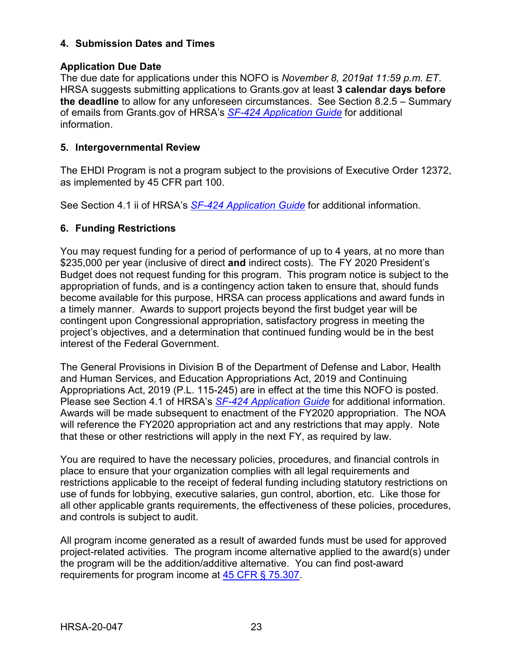## <span id="page-26-0"></span>**4. Submission Dates and Times**

## **Application Due Date**

The due date for applications under this NOFO is *November 8, 2019at 11:59 p.m. ET*. HRSA suggests submitting applications to Grants.gov at least **3 calendar days before the deadline** to allow for any unforeseen circumstances. See Section 8.2.5 – Summary of emails from Grants.gov of HRSA's *[SF-424 Application Guide](http://www.hrsa.gov/grants/apply/applicationguide/sf424guide.pdf)* for additional information.

## <span id="page-26-1"></span>**5. Intergovernmental Review**

The EHDI Program is not a program subject to the provisions of Executive Order 12372, as implemented by 45 CFR part 100.

See Section 4.1 ii of HRSA's *SF-424 [Application Guide](http://www.hrsa.gov/grants/apply/applicationguide/sf424guide.pdf)* for additional information.

## <span id="page-26-2"></span>**6. Funding Restrictions**

You may request funding for a period of performance of up to 4 years, at no more than \$235,000 per year (inclusive of direct **and** indirect costs). The FY 2020 President's Budget does not request funding for this program. This program notice is subject to the appropriation of funds, and is a contingency action taken to ensure that, should funds become available for this purpose, HRSA can process applications and award funds in a timely manner. Awards to support projects beyond the first budget year will be contingent upon Congressional appropriation, satisfactory progress in meeting the project's objectives, and a determination that continued funding would be in the best interest of the Federal Government.

The General Provisions in Division B of the Department of Defense and Labor, Health and Human Services, and Education Appropriations Act, 2019 and Continuing Appropriations Act, 2019 (P.L. 115-245) are in effect at the time this NOFO is posted. Please see Section 4.1 of HRSA's *SF-424 [Application Guide](http://www.hrsa.gov/grants/apply/applicationguide/sf424guide.pdf)* for additional information. Awards will be made subsequent to enactment of the FY2020 appropriation. The NOA will reference the FY2020 appropriation act and any restrictions that may apply. Note that these or other restrictions will apply in the next FY, as required by law.

You are required to have the necessary policies, procedures, and financial controls in place to ensure that your organization complies with all legal requirements and restrictions applicable to the receipt of federal funding including statutory restrictions on use of funds for lobbying, executive salaries, gun control, abortion, etc. Like those for all other applicable grants requirements, the effectiveness of these policies, procedures, and controls is subject to audit.

All program income generated as a result of awarded funds must be used for approved project-related activities. The program income alternative applied to the award(s) under the program will be the addition/additive alternative. You can find post-award requirements for program income at [45 CFR § 75.307.](https://www.ecfr.gov/cgi-bin/retrieveECFR?gp=1&SID=4d52364ec83fab994c665943dadf9cf7&ty=HTML&h=L&r=PART&n=pt45.1.75)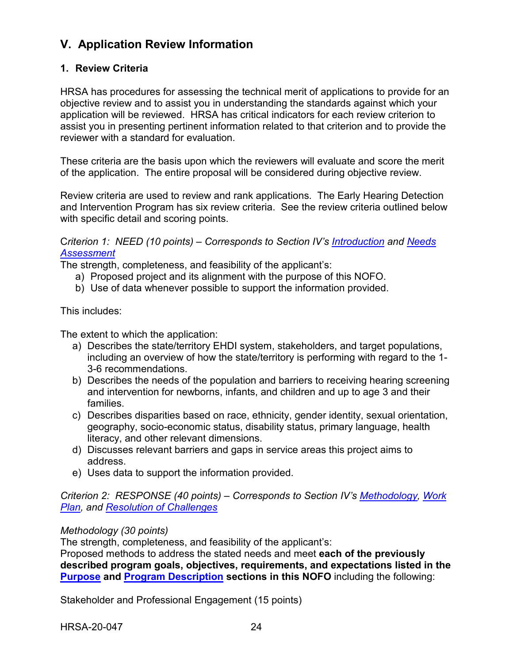## <span id="page-27-0"></span>**V. Application Review Information**

## <span id="page-27-1"></span>**1. Review Criteria**

HRSA has procedures for assessing the technical merit of applications to provide for an objective review and to assist you in understanding the standards against which your application will be reviewed. HRSA has critical indicators for each review criterion to assist you in presenting pertinent information related to that criterion and to provide the reviewer with a standard for evaluation.

These criteria are the basis upon which the reviewers will evaluate and score the merit of the application. The entire proposal will be considered during objective review.

Review criteria are used to review and rank applications. The Early Hearing Detection and Intervention Program has six review criteria. See the review criteria outlined below with specific detail and scoring points.

<span id="page-27-2"></span>C*riterion 1: NEED (10 points) – Corresponds to Section IV's [Introduction](#page-17-2) and [Needs](#page-17-3)  [Assessment](#page-17-3)*

The strength, completeness, and feasibility of the applicant's:

- a) Proposed project and its alignment with the purpose of this NOFO.
- b) Use of data whenever possible to support the information provided.

This includes:

The extent to which the application:

- a) Describes the state/territory EHDI system, stakeholders, and target populations, including an overview of how the state/territory is performing with regard to the 1- 3-6 recommendations.
- b) Describes the needs of the population and barriers to receiving hearing screening and intervention for newborns, infants, and children and up to age 3 and their families.
- c) Describes disparities based on race, ethnicity, gender identity, sexual orientation, geography, socio-economic status, disability status, primary language, health literacy, and other relevant dimensions.
- d) Discusses relevant barriers and gaps in service areas this project aims to address.
- e) Uses data to support the information provided.

<span id="page-27-3"></span>*Criterion 2: RESPONSE (40 points) – Corresponds to Section IV's [Methodology,](#page-18-0) [Work](#page-19-1)  [Plan,](#page-19-1) and [Resolution of Challenges](#page-20-0)*

#### *Methodology (30 points)*

The strength, completeness, and feasibility of the applicant's:

Proposed methods to address the stated needs and meet **each of the previously described program goals, objectives, requirements, and expectations listed in the [Purpose](#page-4-1) and [Program Description](#page-12-1) sections in this NOFO** including the following:

Stakeholder and Professional Engagement (15 points)

HRSA-20-047 24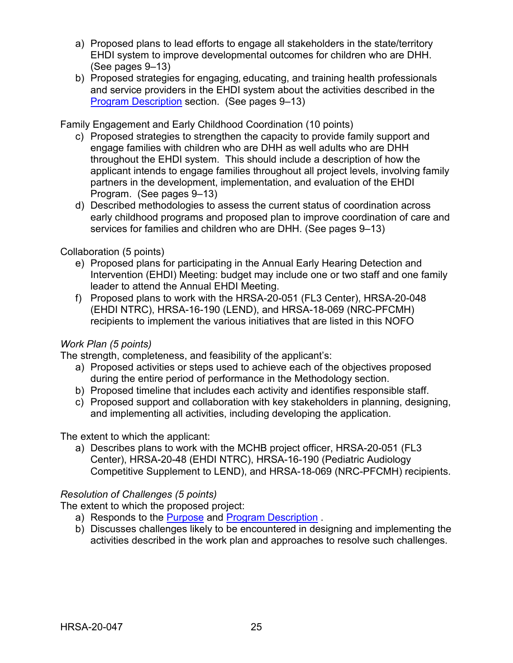- a) Proposed plans to lead efforts to engage all stakeholders in the state/territory EHDI system to improve developmental outcomes for children who are DHH. (See pages 9–13)
- b) Proposed strategies for engaging, educating, and training health professionals and service providers in the EHDI system about the activities described in the [Program Description](#page-12-1) section. (See pages 9–13)

Family Engagement and Early Childhood Coordination (10 points)

- c) Proposed strategies to strengthen the capacity to provide family support and engage families with children who are DHH as well adults who are DHH throughout the EHDI system. This should include a description of how the applicant intends to engage families throughout all project levels, involving family partners in the development, implementation, and evaluation of the EHDI Program. (See pages 9–13)
- d) Described methodologies to assess the current status of coordination across early childhood programs and proposed plan to improve coordination of care and services for families and children who are DHH. (See pages 9–13)

## Collaboration (5 points)

- e) Proposed plans for participating in the Annual Early Hearing Detection and Intervention (EHDI) Meeting: budget may include one or two staff and one family leader to attend the Annual EHDI Meeting.
- f) Proposed plans to work with the HRSA-20-051 (FL3 Center), HRSA-20-048 (EHDI NTRC), HRSA-16-190 (LEND), and HRSA-18-069 (NRC-PFCMH) recipients to implement the various initiatives that are listed in this NOFO

## *Work Plan (5 points)*

The strength, completeness, and feasibility of the applicant's:

- a) Proposed activities or steps used to achieve each of the objectives proposed during the entire period of performance in the Methodology section.
- b) Proposed timeline that includes each activity and identifies responsible staff.
- c) Proposed support and collaboration with key stakeholders in planning, designing, and implementing all activities, including developing the application.

The extent to which the applicant:

a) Describes plans to work with the MCHB project officer, HRSA-20-051 (FL3 Center), HRSA-20-48 (EHDI NTRC), HRSA-16-190 (Pediatric Audiology Competitive Supplement to LEND), and HRSA-18-069 (NRC-PFCMH) recipients.

## *Resolution of Challenges (5 points)*

The extent to which the proposed project:

- a) Responds to the [Purpose](#page-4-1) and [Program Description](#page-12-1) .
- <span id="page-28-0"></span>b) Discusses challenges likely to be encountered in designing and implementing the activities described in the work plan and approaches to resolve such challenges.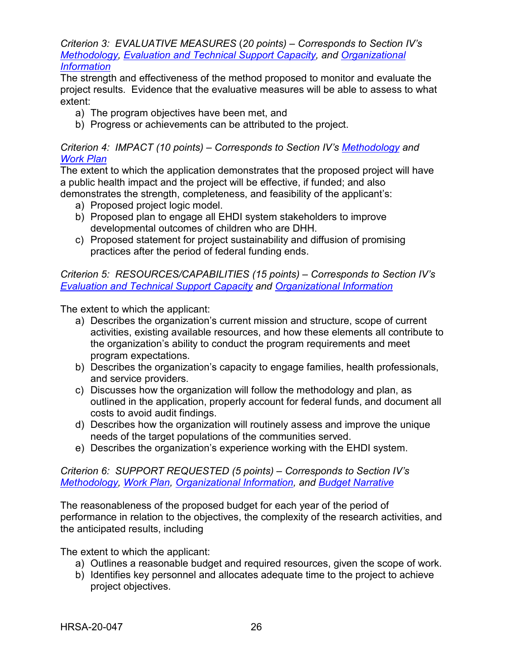*Criterion 3: EVALUATIVE MEASURES* (*20 points) – Corresponds to Section IV's [Methodology,](#page-18-0) [Evaluation and Technical Support Capacity,](#page-20-1) and [Organizational](#page-21-0)  [Information](#page-21-0)*

The strength and effectiveness of the method proposed to monitor and evaluate the project results. Evidence that the evaluative measures will be able to assess to what extent:

- a) The program objectives have been met, and
- b) Progress or achievements can be attributed to the project.

#### <span id="page-29-0"></span>*Criterion 4: IMPACT (10 points) – Corresponds to Section IV's [Methodology](#page-18-0) and [Work Plan](#page-19-1)*

The extent to which the application demonstrates that the proposed project will have a public health impact and the project will be effective, if funded; and also demonstrates the strength, completeness, and feasibility of the applicant's:

- a) Proposed project logic model.
- b) Proposed plan to engage all EHDI system stakeholders to improve developmental outcomes of children who are DHH.
- c) Proposed statement for project sustainability and diffusion of promising practices after the period of federal funding ends.

#### <span id="page-29-2"></span>*Criterion 5: RESOURCES/CAPABILITIES (15 points) – Corresponds to Section IV's [Evaluation and Technical Support Capacity](#page-20-1) and [Organizational Information](#page-21-0)*

The extent to which the applicant:

- a) Describes the organization's current mission and structure, scope of current activities, existing available resources, and how these elements all contribute to the organization's ability to conduct the program requirements and meet program expectations.
- b) Describes the organization's capacity to engage families, health professionals, and service providers.
- c) Discusses how the organization will follow the methodology and plan, as outlined in the application, properly account for federal funds, and document all costs to avoid audit findings.
- d) Describes how the organization will routinely assess and improve the unique needs of the target populations of the communities served.
- e) Describes the organization's experience working with the EHDI system.

#### <span id="page-29-1"></span>*Criterion 6: SUPPORT REQUESTED (5 points) – Corresponds to Section IV's [Methodology,](#page-18-0) [Work Plan,](#page-19-1) [Organizational Information,](#page-21-0) and [Budget Narrative](#page-22-1)*

The reasonableness of the proposed budget for each year of the period of performance in relation to the objectives, the complexity of the research activities, and the anticipated results, including

The extent to which the applicant:

- a) Outlines a reasonable budget and required resources, given the scope of work.
- b) Identifies key personnel and allocates adequate time to the project to achieve project objectives.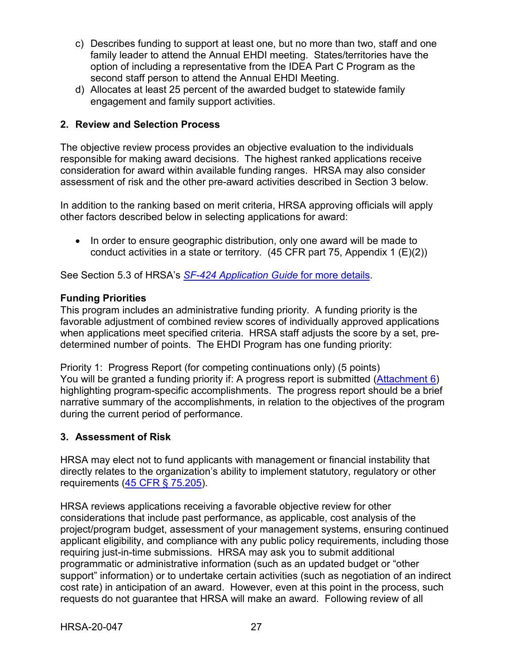- c) Describes funding to support at least one, but no more than two, staff and one family leader to attend the Annual EHDI meeting. States/territories have the option of including a representative from the IDEA Part C Program as the second staff person to attend the Annual EHDI Meeting.
- d) Allocates at least 25 percent of the awarded budget to statewide family engagement and family support activities.

## <span id="page-30-0"></span>**2. Review and Selection Process**

The objective review process provides an objective evaluation to the individuals responsible for making award decisions. The highest ranked applications receive consideration for award within available funding ranges. HRSA may also consider assessment of risk and the other pre-award activities described in Section 3 below.

In addition to the ranking based on merit criteria, HRSA approving officials will apply other factors described below in selecting applications for award:

• In order to ensure geographic distribution, only one award will be made to conduct activities in a state or territory.  $(45 \text{ CFR} \text{ part } 75, \text{ Appendix 1 (E)(2)})$ 

See Section 5.3 of HRSA's *SF-424 [Application Guide](http://www.hrsa.gov/grants/apply/applicationguide/sf424guide.pdf)* for more details.

## **Funding Priorities**

This program includes an administrative funding priority. A funding priority is the favorable adjustment of combined review scores of individually approved applications when applications meet specified criteria. HRSA staff adjusts the score by a set, predetermined number of points. The EHDI Program has one funding priority:

Priority 1: Progress Report (for competing continuations only) (5 points) You will be granted a funding priority if: A progress report is submitted [\(Attachment 6\)](#page-24-1) highlighting program-specific accomplishments. The progress report should be a brief narrative summary of the accomplishments, in relation to the objectives of the program during the current period of performance.

## <span id="page-30-1"></span>**3. Assessment of Risk**

HRSA may elect not to fund applicants with management or financial instability that directly relates to the organization's ability to implement statutory, regulatory or other requirements [\(45 CFR § 75.205\)](https://www.ecfr.gov/cgi-bin/retrieveECFR?gp=1&SID=4d52364ec83fab994c665943dadf9cf7&ty=HTML&h=L&r=PART&n=pt45.1.75).

HRSA reviews applications receiving a favorable objective review for other considerations that include past performance, as applicable, cost analysis of the project/program budget, assessment of your management systems, ensuring continued applicant eligibility, and compliance with any public policy requirements, including those requiring just-in-time submissions. HRSA may ask you to submit additional programmatic or administrative information (such as an updated budget or "other support" information) or to undertake certain activities (such as negotiation of an indirect cost rate) in anticipation of an award. However, even at this point in the process, such requests do not guarantee that HRSA will make an award. Following review of all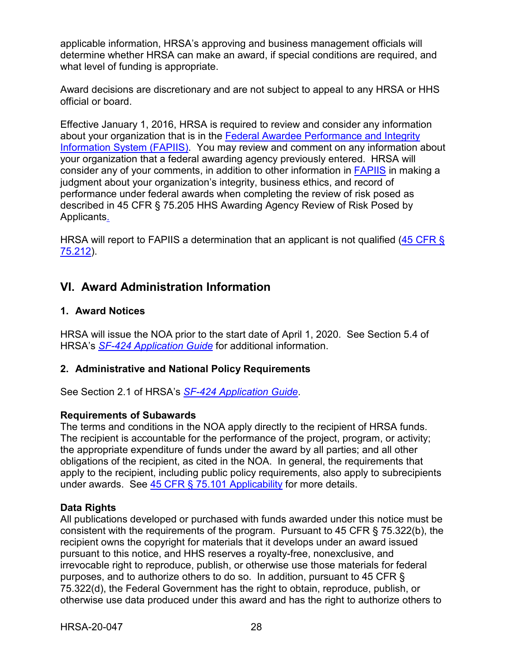applicable information, HRSA's approving and business management officials will determine whether HRSA can make an award, if special conditions are required, and what level of funding is appropriate.

Award decisions are discretionary and are not subject to appeal to any HRSA or HHS official or board.

Effective January 1, 2016, HRSA is required to review and consider any information about your organization that is in the [Federal Awardee Performance and Integrity](https://www.fapiis.gov/)  [Information System \(FAPIIS\).](https://www.fapiis.gov/) You may review and comment on any information about your organization that a federal awarding agency previously entered. HRSA will consider any of your comments, in addition to other information in [FAPIIS](https://www.fapiis.gov/) in making a judgment about your organization's integrity, business ethics, and record of performance under federal awards when completing the review of risk posed as described in [45 CFR § 75.205 HHS Awarding Agency Review of Risk Posed by](https://www.ecfr.gov/cgi-bin/retrieveECFR?gp=1&SID=4d52364ec83fab994c665943dadf9cf7&ty=HTML&h=L&r=PART&n=pt45.1.75)  [Applicants.](https://www.ecfr.gov/cgi-bin/retrieveECFR?gp=1&SID=4d52364ec83fab994c665943dadf9cf7&ty=HTML&h=L&r=PART&n=pt45.1.75)

HRSA will report to FAPIIS a determination that an applicant is not qualified (45 CFR § [75.212\)](https://www.ecfr.gov/cgi-bin/retrieveECFR?gp=1&SID=4d52364ec83fab994c665943dadf9cf7&ty=HTML&h=L&r=PART&n=pt45.1.75).

## <span id="page-31-0"></span>**VI. Award Administration Information**

## <span id="page-31-1"></span>**1. Award Notices**

HRSA will issue the NOA prior to the start date of April 1, 2020. See Section 5.4 of HRSA's *SF-424 [Application Guide](http://www.hrsa.gov/grants/apply/applicationguide/sf424guide.pdf)* for additional information.

## <span id="page-31-2"></span>**2. Administrative and National Policy Requirements**

See Section 2.1 of HRSA's *SF-424 [Application Guide](http://www.hrsa.gov/grants/apply/applicationguide/sf424guide.pdf)*.

#### **Requirements of Subawards**

The terms and conditions in the NOA apply directly to the recipient of HRSA funds. The recipient is accountable for the performance of the project, program, or activity; the appropriate expenditure of funds under the award by all parties; and all other obligations of the recipient, as cited in the NOA. In general, the requirements that apply to the recipient, including public policy requirements, also apply to subrecipients under awards. See [45 CFR § 75.101 Applicability](https://www.ecfr.gov/cgi-bin/retrieveECFR?gp=1&SID=4d52364ec83fab994c665943dadf9cf7&ty=HTML&h=L&r=PART&n=pt45.1.75) for more details.

## **Data Rights**

All publications developed or purchased with funds awarded under this notice must be consistent with the requirements of the program. Pursuant to 45 CFR § 75.322(b), the recipient owns the copyright for materials that it develops under an award issued pursuant to this notice, and HHS reserves a royalty-free, nonexclusive, and irrevocable right to reproduce, publish, or otherwise use those materials for federal purposes, and to authorize others to do so. In addition, pursuant to 45 CFR § 75.322(d), the Federal Government has the right to obtain, reproduce, publish, or otherwise use data produced under this award and has the right to authorize others to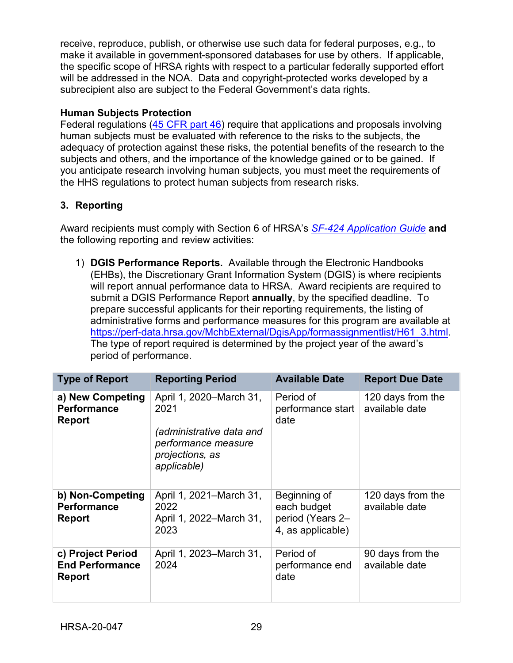receive, reproduce, publish, or otherwise use such data for federal purposes, e.g., to make it available in government-sponsored databases for use by others. If applicable, the specific scope of HRSA rights with respect to a particular federally supported effort will be addressed in the NOA. Data and copyright-protected works developed by a subrecipient also are subject to the Federal Government's data rights.

## **Human Subjects Protection**

Federal regulations [\(45 CFR part 46\)](https://www.ecfr.gov/cgi-bin/text-idx?SID=5ec405e535881de66e6f153cdf4cdcf8&mc=true&node=pt45.1.46&rgn=div5) require that applications and proposals involving human subjects must be evaluated with reference to the risks to the subjects, the adequacy of protection against these risks, the potential benefits of the research to the subjects and others, and the importance of the knowledge gained or to be gained. If you anticipate research involving human subjects, you must meet the requirements of the HHS regulations to protect human subjects from research risks.

## <span id="page-32-0"></span>**3. Reporting**

Award recipients must comply with Section 6 of HRSA's *SF-424 [Application Guide](http://www.hrsa.gov/grants/apply/applicationguide/sf424guide.pdf)* **and** the following reporting and review activities:

1) **DGIS Performance Reports.** Available through the Electronic Handbooks (EHBs), the Discretionary Grant Information System (DGIS) is where recipients will report annual performance data to HRSA. Award recipients are required to submit a DGIS Performance Report **annually**, by the specified deadline. To prepare successful applicants for their reporting requirements, the listing of administrative forms and performance measures for this program are available at [https://perf-data.hrsa.gov/MchbExternal/DgisApp/formassignmentlist/H61\\_3.html.](https://perf-data.hrsa.gov/MchbExternal/DgisApp/formassignmentlist/H61_3.html) The type of report required is determined by the project year of the award's period of performance.

| <b>Type of Report</b>                                        | <b>Reporting Period</b>                                                                                              | <b>Available Date</b>                                                | <b>Report Due Date</b>              |
|--------------------------------------------------------------|----------------------------------------------------------------------------------------------------------------------|----------------------------------------------------------------------|-------------------------------------|
| a) New Competing<br><b>Performance</b><br><b>Report</b>      | April 1, 2020–March 31,<br>2021<br>(administrative data and<br>performance measure<br>projections, as<br>applicable) | Period of<br>performance start<br>date                               | 120 days from the<br>available date |
| b) Non-Competing<br><b>Performance</b><br>Report             | April 1, 2021–March 31,<br>2022<br>April 1, 2022–March 31,<br>2023                                                   | Beginning of<br>each budget<br>period (Years 2-<br>4, as applicable) | 120 days from the<br>available date |
| c) Project Period<br><b>End Performance</b><br><b>Report</b> | April 1, 2023–March 31,<br>2024                                                                                      | Period of<br>performance end<br>date                                 | 90 days from the<br>available date  |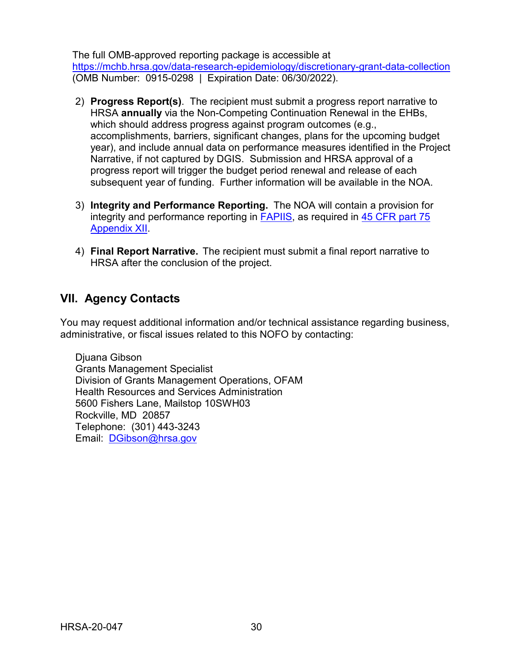The full OMB-approved reporting package is accessible at <https://mchb.hrsa.gov/data-research-epidemiology/discretionary-grant-data-collection> (OMB Number: 0915-0298 | Expiration Date: 06/30/2022).

- 2) **Progress Report(s)**. The recipient must submit a progress report narrative to HRSA **annually** via the Non-Competing Continuation Renewal in the EHBs, which should address progress against program outcomes (e.g., accomplishments, barriers, significant changes, plans for the upcoming budget year), and include annual data on performance measures identified in the Project Narrative, if not captured by DGIS. Submission and HRSA approval of a progress report will trigger the budget period renewal and release of each subsequent year of funding. Further information will be available in the NOA.
- 3) **Integrity and Performance Reporting.** The NOA will contain a provision for integrity and performance reporting in [FAPIIS,](https://www.fapiis.gov/) as required in [45 CFR part 75](https://www.ecfr.gov/cgi-bin/retrieveECFR?gp=1&SID=4d52364ec83fab994c665943dadf9cf7&ty=HTML&h=L&r=PART&n=pt45.1.75)  [Appendix XII.](https://www.ecfr.gov/cgi-bin/retrieveECFR?gp=1&SID=4d52364ec83fab994c665943dadf9cf7&ty=HTML&h=L&r=PART&n=pt45.1.75)
- 4) **Final Report Narrative.** The recipient must submit a final report narrative to HRSA after the conclusion of the project.

## <span id="page-33-0"></span>**VII. Agency Contacts**

You may request additional information and/or technical assistance regarding business, administrative, or fiscal issues related to this NOFO by contacting:

Djuana Gibson Grants Management Specialist Division of Grants Management Operations, OFAM Health Resources and Services Administration 5600 Fishers Lane, Mailstop 10SWH03 Rockville, MD 20857 Telephone: (301) 443-3243 Email: [DGibson@hrsa.gov](mailto:DGibson@hrsa.gov)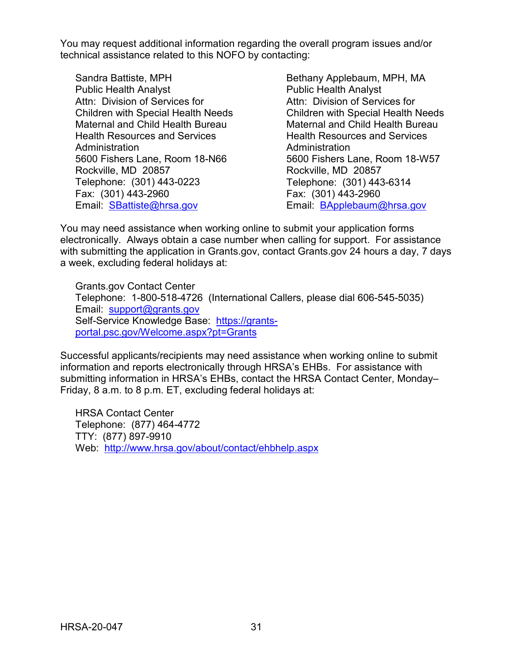You may request additional information regarding the overall program issues and/or technical assistance related to this NOFO by contacting:

Sandra Battiste, MPH Public Health Analyst Attn: Division of Services for Children with Special Health Needs Maternal and Child Health Bureau Health Resources and Services Administration 5600 Fishers Lane, Room 18-N66 Rockville, MD 20857 Telephone: (301) 443-0223 Fax: (301) 443-2960 Email: [SBattiste@hrsa.gov](mailto:sbattiste@hrsa.gov)

Bethany Applebaum, MPH, MA Public Health Analyst Attn: Division of Services for Children with Special Health Needs Maternal and Child Health Bureau Health Resources and Services Administration 5600 Fishers Lane, Room 18-W57 Rockville, MD 20857 Telephone: (301) 443-6314 Fax: (301) 443-2960 Email: [BApplebaum@hrsa.gov](mailto:BApplebaum@hrsa.gov)

You may need assistance when working online to submit your application forms electronically. Always obtain a case number when calling for support. For assistance with submitting the application in Grants.gov, contact Grants.gov 24 hours a day, 7 days a week, excluding federal holidays at:

Grants.gov Contact Center Telephone: 1-800-518-4726 (International Callers, please dial 606-545-5035) Email: [support@grants.gov](mailto:support@grants.gov) Self-Service Knowledge Base: [https://grants](https://grants-portal.psc.gov/Welcome.aspx?pt=Grants)[portal.psc.gov/Welcome.aspx?pt=Grants](https://grants-portal.psc.gov/Welcome.aspx?pt=Grants)

Successful applicants/recipients may need assistance when working online to submit information and reports electronically through HRSA's EHBs. For assistance with submitting information in HRSA's EHBs, contact the HRSA Contact Center, Monday– Friday, 8 a.m. to 8 p.m. ET, excluding federal holidays at:

HRSA Contact Center Telephone: (877) 464-4772 TTY: (877) 897-9910 Web: <http://www.hrsa.gov/about/contact/ehbhelp.aspx>